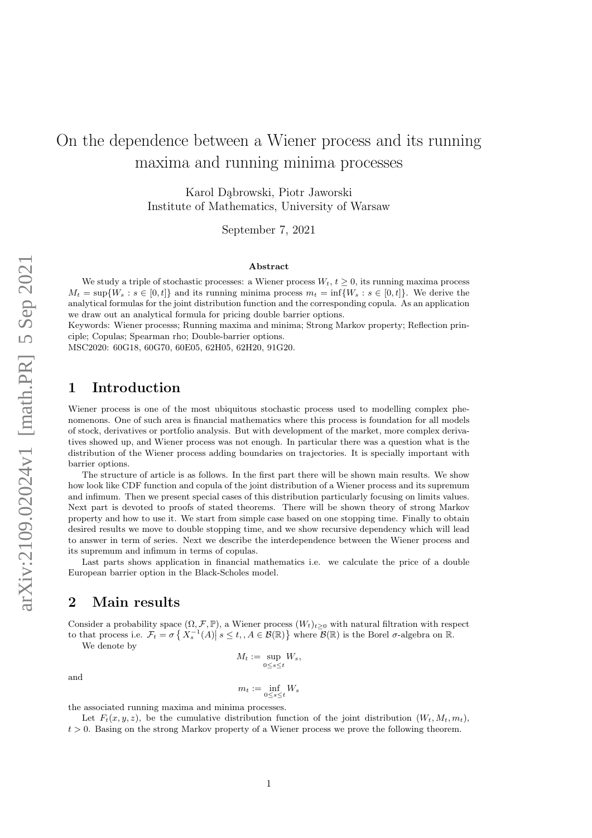# On the dependence between a Wiener process and its running maxima and running minima processes

Karol Dabrowski, Piotr Jaworski Institute of Mathematics, University of Warsaw

September 7, 2021

#### Abstract

We study a triple of stochastic processes: a Wiener process  $W_t$ ,  $t \geq 0$ , its running maxima process  $M_t = \sup\{W_s : s \in [0, t]\}\$ and its running minima process  $m_t = \inf\{W_s : s \in [0, t]\}\$ . We derive the analytical formulas for the joint distribution function and the corresponding copula. As an application we draw out an analytical formula for pricing double barrier options.

Keywords: Wiener processs; Running maxima and minima; Strong Markov property; Reflection principle; Copulas; Spearman rho; Double-barrier options.

MSC2020: 60G18, 60G70, 60E05, 62H05, 62H20, 91G20.

### 1 Introduction

Wiener process is one of the most ubiquitous stochastic process used to modelling complex phenomenons. One of such area is financial mathematics where this process is foundation for all models of stock, derivatives or portfolio analysis. But with development of the market, more complex derivatives showed up, and Wiener process was not enough. In particular there was a question what is the distribution of the Wiener process adding boundaries on trajectories. It is specially important with barrier options.

The structure of article is as follows. In the first part there will be shown main results. We show how look like CDF function and copula of the joint distribution of a Wiener process and its supremum and infimum. Then we present special cases of this distribution particularly focusing on limits values. Next part is devoted to proofs of stated theorems. There will be shown theory of strong Markov property and how to use it. We start from simple case based on one stopping time. Finally to obtain desired results we move to double stopping time, and we show recursive dependency which will lead to answer in term of series. Next we describe the interdependence between the Wiener process and its supremum and infimum in terms of copulas.

Last parts shows application in financial mathematics i.e. we calculate the price of a double European barrier option in the Black-Scholes model.

### <span id="page-0-0"></span>2 Main results

Consider a probability space  $(\Omega, \mathcal{F}, \mathbb{P})$ , a Wiener process  $(W_t)_{t\geq0}$  with natural filtration with respect to that process i.e.  $\mathcal{F}_t = \sigma\left\{X_s^{-1}(A)\middle| s \le t, A \in \mathcal{B}(\mathbb{R})\right\}$  where  $\mathcal{B}(\mathbb{R})$  is the Borel  $\sigma$ -algebra on  $\mathbb{R}$ .

We denote by

$$
M_t := \sup_{0 \le s \le t} W_s,
$$

and

$$
m_t := \inf_{0 \leq s \leq t} W_s
$$
 the associated running maxima and minima processes.

Let  $F_t(x, y, z)$ , be the cumulative distribution function of the joint distribution  $(W_t, M_t, m_t)$ ,  $t > 0$ . Basing on the strong Markov property of a Wiener process we prove the following theorem.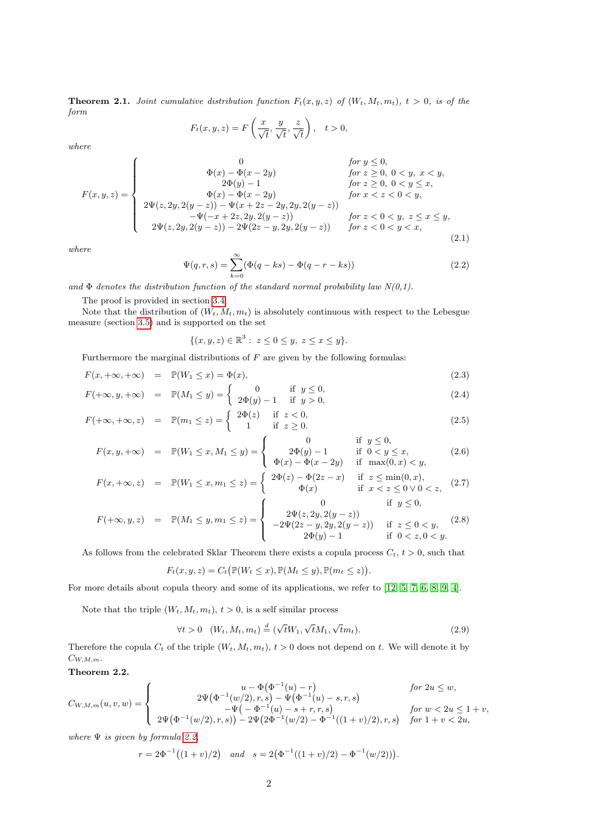<span id="page-1-1"></span>**Theorem 2.1.** Joint cumulative distribution function  $F_t(x, y, z)$  of  $(W_t, M_t, m_t)$ ,  $t > 0$ , is of the form

$$
F_t(x, y, z) = F\left(\frac{x}{\sqrt{t}}, \frac{y}{\sqrt{t}}, \frac{z}{\sqrt{t}}\right), \quad t > 0,
$$

where

<span id="page-1-3"></span>
$$
F(x, y, z) = \begin{cases}\n0 & \text{for } y \leq 0, \\
\Phi(x) - \Phi(x - 2y) & \text{for } z \geq 0, \ 0 < y, \ x < y, \\
2\Phi(y) - 1 & \text{for } z \geq 0, \ 0 < y \leq x, \\
\Phi(x) - \Phi(x - 2y) & \text{for } x < z < 0 < y, \\
2\Psi(z, 2y, 2(y - z)) - \Psi(x + 2z - 2y, 2y, 2(y - z)) & \text{for } z < 0 < y, \ z \leq x \leq y, \\
2\Psi(z, 2y, 2(y - z)) - 2\Psi(2z - y, 2y, 2(y - z)) & \text{for } z < 0 < y < x,\n\end{cases}
$$
\n(2.1)

where

<span id="page-1-0"></span>
$$
\Psi(q, r, s) = \sum_{k=0}^{\infty} (\Phi(q - ks) - \Phi(q - r - ks))
$$
\n(2.2)

and  $\Phi$  denotes the distribution function of the standard normal probability law  $N(0,1)$ .

The proof is provided in section [3.4.](#page-11-0)

Note that the distribution of  $(W_t, M_t, m_t)$  is absolutely continuous with respect to the Lebesgue measure (section [3.5\)](#page-12-0) and is supported on the set

$$
\{(x, y, z) \in \mathbb{R}^3 : z \le 0 \le y, z \le x \le y\}.
$$

Furthermore the marginal distributions of  $F$  are given by the following formulas:

$$
F(x, +\infty, +\infty) = \mathbb{P}(W_1 \le x) = \Phi(x), \tag{2.3}
$$

$$
F(+\infty, y, +\infty) = \mathbb{P}(M_1 \le y) = \begin{cases} 0 & \text{if } y \le 0, \\ 2\Phi(y) - 1 & \text{if } y > 0, \end{cases}
$$
 (2.4)

$$
F(+\infty, +\infty, z) = \mathbb{P}(m_1 \le z) = \begin{cases} 2\Phi(z) & \text{if } z < 0, \\ 1 & \text{if } z \ge 0. \end{cases}
$$
 (2.5)

$$
F(x, y, +\infty) = \mathbb{P}(W_1 \le x, M_1 \le y) = \begin{cases} 0 & \text{if } y \le 0, \\ 2\Phi(y) - 1 & \text{if } 0 < y \le x, \\ \Phi(x) - \Phi(x - 2y) & \text{if } \max(0, x) < y, \end{cases}
$$
(2.6)

$$
F(x, +\infty, z) = \mathbb{P}(W_1 \le x, m_1 \le z) = \begin{cases} 2\Phi(z) - \Phi(2z - x) & \text{if } z \le \min(0, x), \\ \Phi(x) & \text{if } x < z \le 0 \lor 0 < z, \end{cases}
$$
 (2.7)

$$
F(+\infty, y, z) = \mathbb{P}(M_1 \leq y, m_1 \leq z) = \begin{cases} 0 & \text{if } y \leq 0, \\ 2\Psi(z, 2y, 2(y - z)) & \text{if } z \leq 0 < y, \\ -2\Psi(2z - y, 2y, 2(y - z)) & \text{if } z \leq 0 < y, \\ 2\Phi(y) - 1 & \text{if } 0 < z, 0 < y. \end{cases}
$$
(2.8)

As follows from the celebrated Sklar Theorem there exists a copula process  $C_t$ ,  $t > 0$ , such that

$$
F_t(x, y, z) = C_t \big( \mathbb{P}(W_t \leq x), \mathbb{P}(M_t \leq y), \mathbb{P}(m_t \leq z) \big).
$$

For more details about copula theory and some of its applications, we refer to [\[12,](#page-20-0) [5,](#page-19-0) [7,](#page-19-1) [6,](#page-19-2) [8,](#page-19-3) [9,](#page-19-4) [4\]](#page-19-5).

Note that the triple  $(W_t, M_t, m_t)$ ,  $t > 0$ , is a self similar process

$$
\forall t > 0 \quad (W_t, M_t, m_t) \stackrel{d}{=} (\sqrt{t}W_1, \sqrt{t}M_1, \sqrt{t}m_t). \tag{2.9}
$$

Therefore the copula  $C_t$  of the triple  $(W_t, M_t, m_t)$ ,  $t > 0$  does not depend on t. We will denote it by  $C_{W,M,m}$ .

<span id="page-1-2"></span>Theorem 2.2.

$$
C_{W,M,m}(u,v,w) = \begin{cases} u - \Phi(\Phi^{-1}(u) - r) & \text{for } 2u \le w, \\ 2\Psi(\Phi^{-1}(w/2),r,s) - \Psi(\Phi^{-1}(u) - s,r,s) & \text{for } w < 2u \le 1+v, \\ 2\Psi(\Phi^{-1}(w/2),r,s)) - 2\Psi(2\Phi^{-1}(w/2) - \Phi^{-1}((1+v)/2),r,s) & \text{for } u < 2u \le 1+v, \end{cases}
$$

where  $\Psi$  is given by formula [2.2,](#page-1-0)

$$
r = 2\Phi^{-1}((1+v)/2)
$$
 and  $s = 2(\Phi^{-1}((1+v)/2) - \Phi^{-1}(w/2))).$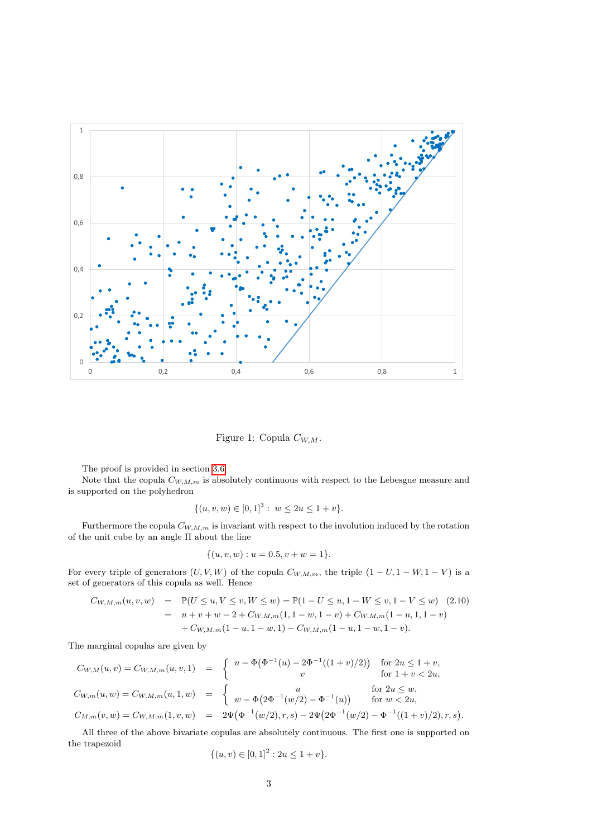

<span id="page-2-0"></span>Figure 1: Copula  $C_{W,M}$ .

The proof is provided in section [3.6.](#page-13-0)

Note that the copula  $C_{W,M,m}$  is absolutely continuous with respect to the Lebesgue measure and is supported on the polyhedron

$$
\{(u, v, w) \in [0, 1]^3 : w \le 2u \le 1 + v\}.
$$

Furthermore the copula  $C_{W,M,m}$  is invariant with respect to the involution induced by the rotation of the unit cube by an angle  $\Pi$  about the line

$$
\{(u, v, w) : u = 0.5, v + w = 1\}.
$$

For every triple of generators  $(U, V, W)$  of the copula  $C_{W,M,m}$ , the triple  $(1 - U, 1 - W, 1 - V)$  is a set of generators of this copula as well. Hence

$$
C_{W,M,m}(u,v,w) = \mathbb{P}(U \le u, V \le v, W \le w) = \mathbb{P}(1 - U \le u, 1 - W \le v, 1 - V \le w)
$$
(2.10)  

$$
= u + v + w - 2 + C_{W,M,m}(1, 1 - w, 1 - v) + C_{W,M,m}(1 - u, 1, 1 - v)
$$

$$
+ C_{W,M,m}(1 - u, 1 - w, 1) - C_{W,M,m}(1 - u, 1 - w, 1 - v).
$$

The marginal copulas are given by

$$
C_{W,M}(u,v) = C_{W,M,m}(u,v,1) = \begin{cases} u - \Phi(\Phi^{-1}(u) - 2\Phi^{-1}((1+v)/2)) & \text{for } 2u \le 1+v, \\ v & \text{for } 1+v < 2u, \end{cases}
$$
  
\n
$$
C_{W,m}(u,w) = C_{W,M,m}(u,1,w) = \begin{cases} u & \text{for } 2u \le w, \\ w - \Phi(2\Phi^{-1}(w/2) - \Phi^{-1}(u)) & \text{for } w < 2u, \end{cases}
$$
  
\n
$$
C_{M,m}(v,w) = C_{W,M,m}(1,v,w) = 2\Psi(\Phi^{-1}(w/2),r,s) - 2\Psi(2\Phi^{-1}(w/2) - \Phi^{-1}((1+v)/2),r,s)
$$

All three of the above bivariate copulas are absolutely continuous. The first one is supported on the trapezoid

.

$$
\{(u,v) \in [0,1]^2 : 2u \le 1+v\}.
$$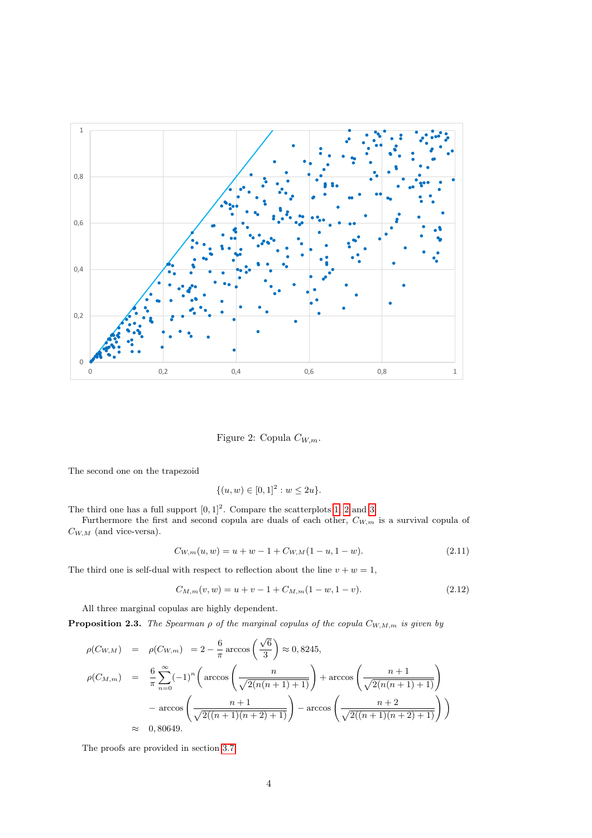

<span id="page-3-0"></span>Figure 2: Copula  $C_{W,m}$ .

The second one on the trapezoid

$$
\{(u, w) \in [0, 1]^2 : w \le 2u\}.
$$

The third one has a full support  $[0, 1]^2$ . Compare the scatterplots [1,](#page-2-0) [2](#page-3-0) and [3.](#page-4-0)

Furthermore the first and second copula are duals of each other,  $C_{W,m}$  is a survival copula of  $C_{W,M}$  (and vice-versa).

<span id="page-3-2"></span>
$$
C_{W,m}(u, w) = u + w - 1 + C_{W,M}(1 - u, 1 - w).
$$
\n(2.11)

The third one is self-dual with respect to reflection about the line  $v + w = 1$ ,

$$
C_{M,m}(v,w) = u + v - 1 + C_{M,m}(1 - w, 1 - v).
$$
\n(2.12)

All three marginal copulas are highly dependent.

<span id="page-3-1"></span>**Proposition 2.3.** The Spearman  $\rho$  of the marginal copulas of the copula  $C_{W,M,m}$  is given by

$$
\rho(C_{W,M}) = \rho(C_{W,m}) = 2 - \frac{6}{\pi} \arccos\left(\frac{\sqrt{6}}{3}\right) \approx 0,8245,
$$
  

$$
\rho(C_{M,m}) = \frac{6}{\pi} \sum_{n=0}^{\infty} (-1)^n \left( \arccos\left(\frac{n}{\sqrt{2(n(n+1)+1)}}\right) + \arccos\left(\frac{n+1}{\sqrt{2(n(n+1)+1)}}\right) - \arccos\left(\frac{n+1}{\sqrt{2((n+1)(n+2)+1)}}\right) \right)
$$
  

$$
\approx 0,80649.
$$

The proofs are provided in section [3.7.](#page-14-0)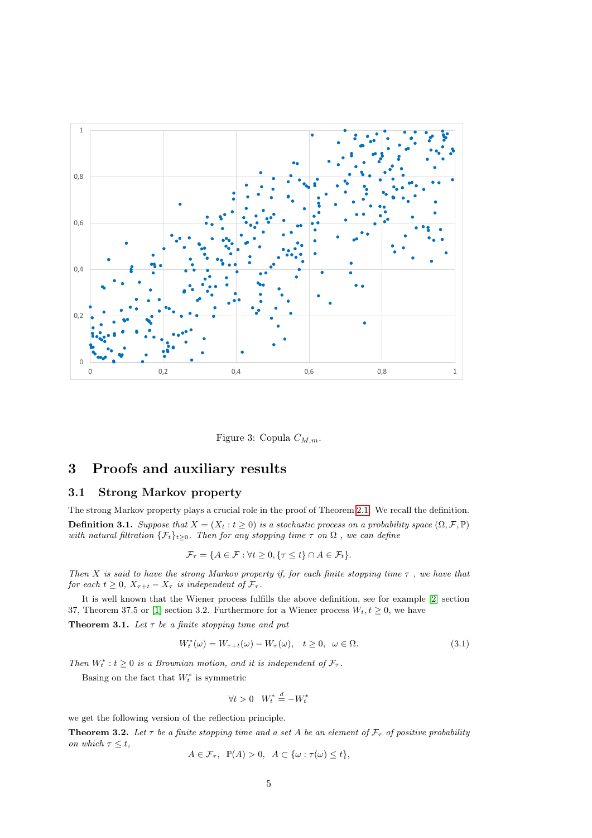

<span id="page-4-0"></span>Figure 3: Copula  $C_{M,m}$ .

# 3 Proofs and auxiliary results

#### 3.1 Strong Markov property

The strong Markov property plays a crucial role in the proof of Theorem [2.1.](#page-1-1) We recall the definition. **Definition 3.1.** Suppose that  $X = (X_t : t \ge 0)$  is a stochastic process on a probability space  $(\Omega, \mathcal{F}, \mathbb{P})$ with natural filtration  $\{\mathcal{F}_t\}_{t\geq 0}$ . Then for any stopping time  $\tau$  on  $\Omega$ , we can define

$$
\mathcal{F}_{\tau} = \{ A \in \mathcal{F} : \forall t \geq 0, \{ \tau \leq t \} \cap A \in \mathcal{F}_{t} \}.
$$

Then X is said to have the strong Markov property if, for each finite stopping time  $\tau$  , we have that for each  $t \geq 0$ ,  $X_{\tau+t} - X_{\tau}$  is independent of  $\mathcal{F}_{\tau}$ .

It is well known that the Wiener process fulfills the above definition, see for example [\[2\]](#page-19-6) section 37, Theorem 37.5 or [\[1\]](#page-19-7) section 3.2. Furthermore for a Wiener process  $W_t, t \geq 0$ , we have

**Theorem 3.1.** Let  $\tau$  be a finite stopping time and put

$$
W_t^*(\omega) = W_{\tau+t}(\omega) - W_{\tau}(\omega), \quad t \ge 0, \quad \omega \in \Omega.
$$
\n(3.1)

Then  $W_t^* : t \geq 0$  is a Brownian motion, and it is independent of  $\mathcal{F}_{\tau}$ .

Basing on the fact that  $W_t^*$  is symmetric

$$
\forall t > 0 \quad W_t^* \stackrel{d}{=} -W_t^*
$$

we get the following version of the reflection principle.

**Theorem 3.2.** Let  $\tau$  be a finite stopping time and a set A be an element of  $\mathcal{F}_{\tau}$  of positive probability on which  $\tau \leq t$ ,

$$
A \in \mathcal{F}_{\tau}, \ \ \mathbb{P}(A) > 0, \ \ A \subset \{\omega : \tau(\omega) \leq t\},
$$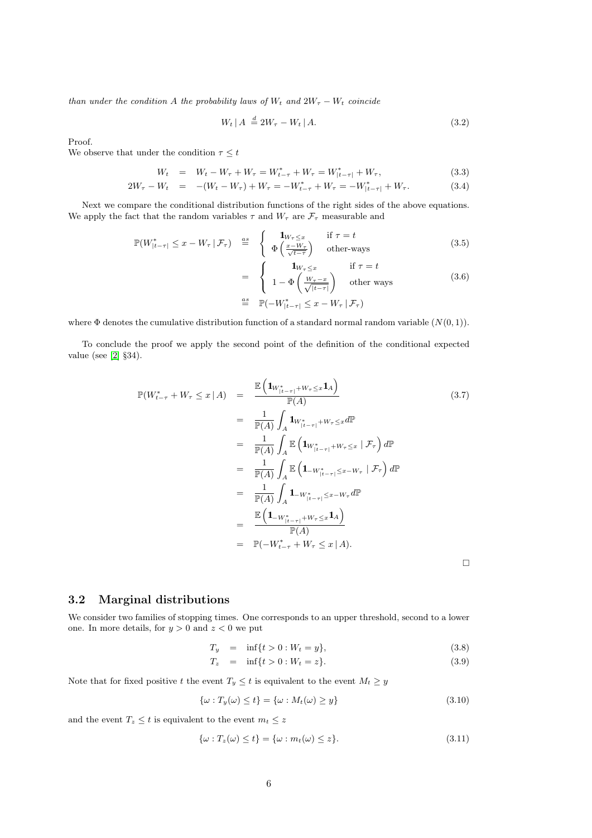than under the condition A the probability laws of  $W_t$  and  $2W_\tau - W_t$  coincide

$$
W_t \mid A \stackrel{d}{=} 2W_\tau - W_t \mid A. \tag{3.2}
$$

Proof.

We observe that under the condition  $\tau \leq t$ 

$$
W_t = W_t - W_\tau + W_\tau = W_{t-\tau}^* + W_\tau = W_{|t-\tau|}^* + W_\tau,
$$
\n(3.3)

$$
2W_{\tau} - W_t = -(W_t - W_{\tau}) + W_{\tau} = -W_{t-\tau}^* + W_{\tau} = -W_{|t-\tau|}^* + W_{\tau}.
$$
 (3.4)

Next we compare the conditional distribution functions of the right sides of the above equations. We apply the fact that the random variables  $\tau$  and  $W_{\tau}$  are  $\mathcal{F}_{\tau}$  measurable and

$$
\mathbb{P}(W_{|t-\tau|}^* \le x - W_\tau \,|\,\mathcal{F}_\tau) \stackrel{as}{=} \begin{cases} \mathbf{1}_{W_\tau \le x} & \text{if } \tau = t \\ \Phi\left(\frac{x - W_\tau}{\sqrt{t-\tau}}\right) & \text{other-ways} \end{cases} \tag{3.5}
$$

$$
= \begin{cases} \n\mathbf{1}_{W_{\tau} \leq x} & \text{if } \tau = t \\ \n1 - \Phi\left(\frac{W_{\tau} - x}{\sqrt{|t - \tau|}}\right) & \text{other ways} \\ \n\Xi & \mathbb{P}(-W_{|t - \tau|}^{*} \leq x - W_{\tau} | \mathcal{F}_{\tau}) \n\end{cases} \tag{3.6}
$$

where  $\Phi$  denotes the cumulative distribution function of a standard normal random variable  $(N(0, 1))$ .

To conclude the proof we apply the second point of the definition of the conditional expected value (see [\[2\]](#page-19-6) §34).

$$
\mathbb{P}(W_{t-\tau}^* + W_{\tau} \le x \mid A) = \frac{\mathbb{E}(\mathbf{1}_{W_{|t-\tau|}^* + W_{\tau} \le x} \mathbf{1}_A)}{\mathbb{P}(A)}
$$
(3.7)  
\n
$$
= \frac{1}{\mathbb{P}(A)} \int_A \mathbf{1}_{W_{|t-\tau|}^* + W_{\tau} \le x} d\mathbb{P}
$$
  
\n
$$
= \frac{1}{\mathbb{P}(A)} \int_A \mathbb{E}(\mathbf{1}_{W_{|t-\tau|}^* + W_{\tau} \le x} \mid \mathcal{F}_{\tau}) d\mathbb{P}
$$
  
\n
$$
= \frac{1}{\mathbb{P}(A)} \int_A \mathbb{E}(\mathbf{1}_{-W_{|t-\tau|}^* \le x - W_{\tau}} \mid \mathcal{F}_{\tau}) d\mathbb{P}
$$
  
\n
$$
= \frac{1}{\mathbb{P}(A)} \int_A \mathbf{1}_{-W_{|t-\tau|}^* \le x - W_{\tau}} d\mathbb{P}
$$
  
\n
$$
= \frac{\mathbb{E}(\mathbf{1}_{-W_{|t-\tau|}^* + W_{\tau} \le x} \mathbf{1}_A)}{\mathbb{P}(A)}
$$
  
\n
$$
= \mathbb{P}(-W_{t-\tau}^* + W_{\tau} \le x \mid A).
$$

#### 3.2 Marginal distributions

We consider two families of stopping times. One corresponds to an upper threshold, second to a lower one. In more details, for  $y > 0$  and  $z < 0$  we put

$$
T_y = \inf\{t > 0 : W_t = y\},\tag{3.8}
$$

$$
T_z = \inf\{t > 0 : W_t = z\}.
$$
\n(3.9)

Note that for fixed positive t the event  $T_y \leq t$  is equivalent to the event  $M_t \geq y$ 

$$
\{\omega : T_y(\omega) \le t\} = \{\omega : M_t(\omega) \ge y\}
$$
\n(3.10)

and the event  $T_z \leq t$  is equivalent to the event  $m_t \leq z$ 

$$
\{\omega : T_z(\omega) \le t\} = \{\omega : m_t(\omega) \le z\}.
$$
\n(3.11)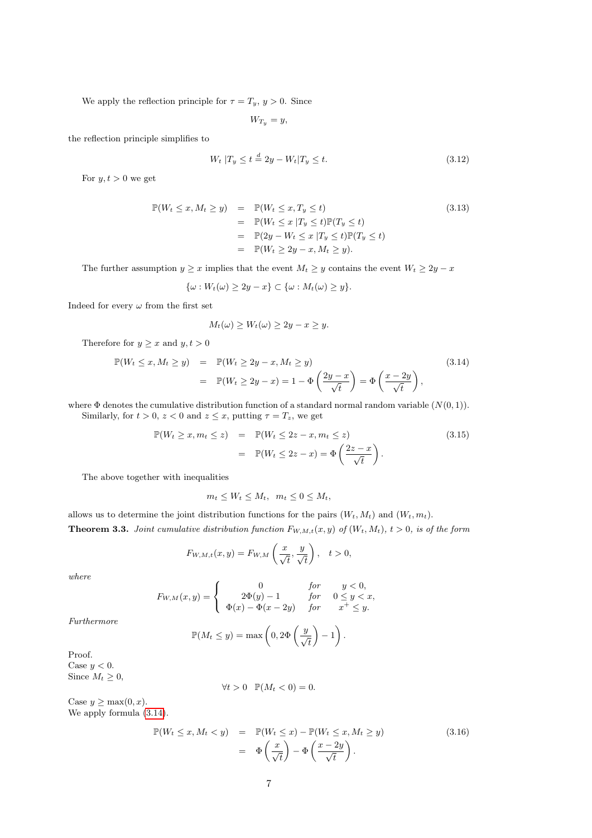We apply the reflection principle for  $\tau = T_y, y > 0$ . Since

 $W_{T_y} = y$ ,

the reflection principle simplifies to

$$
W_t | T_y \le t \stackrel{d}{=} 2y - W_t | T_y \le t. \tag{3.12}
$$

For  $y, t > 0$  we get

$$
\mathbb{P}(W_t \le x, M_t \ge y) = \mathbb{P}(W_t \le x, T_y \le t)
$$
\n
$$
= \mathbb{P}(W_t \le x | T_y \le t) \mathbb{P}(T_y \le t)
$$
\n
$$
= \mathbb{P}(2y - W_t \le x | T_y \le t) \mathbb{P}(T_y \le t)
$$
\n
$$
= \mathbb{P}(W_t \ge 2y - x, M_t \ge y).
$$
\n(3.13)

The further assumption  $y \ge x$  implies that the event  $M_t \ge y$  contains the event  $W_t \ge 2y - x$ 

$$
\{\omega: W_t(\omega) \ge 2y - x\} \subset \{\omega: M_t(\omega) \ge y\}.
$$

Indeed for every  $\omega$  from the first set

$$
M_t(\omega) \ge W_t(\omega) \ge 2y - x \ge y.
$$

Therefore for  $y \geq x$  and  $y, t > 0$ 

<span id="page-6-0"></span>
$$
\mathbb{P}(W_t \le x, M_t \ge y) = \mathbb{P}(W_t \ge 2y - x, M_t \ge y)
$$
\n
$$
= \mathbb{P}(W_t \ge 2y - x) = 1 - \Phi\left(\frac{2y - x}{\sqrt{t}}\right) = \Phi\left(\frac{x - 2y}{\sqrt{t}}\right),
$$
\n(3.14)

where  $\Phi$  denotes the cumulative distribution function of a standard normal random variable  $(N(0, 1))$ . Similarly, for  $t > 0$ ,  $z < 0$  and  $z \leq x$ , putting  $\tau = T_z$ , we get

<span id="page-6-1"></span>
$$
\mathbb{P}(W_t \ge x, m_t \le z) = \mathbb{P}(W_t \le 2z - x, m_t \le z)
$$
\n
$$
= \mathbb{P}(W_t \le 2z - x) = \Phi\left(\frac{2z - x}{\sqrt{t}}\right).
$$
\n(3.15)

The above together with inequalities

$$
m_t \le W_t \le M_t, \ \ m_t \le 0 \le M_t,
$$

<span id="page-6-2"></span>allows us to determine the joint distribution functions for the pairs  $(W_t, M_t)$  and  $(W_t, m_t)$ . **Theorem 3.3.** Joint cumulative distribution function  $F_{W,M,t}(x, y)$  of  $(W_t, M_t)$ ,  $t > 0$ , is of the form

$$
F_{W,M,t}(x,y) = F_{W,M}\left(\frac{x}{\sqrt{t}}, \frac{y}{\sqrt{t}}\right), \quad t > 0,
$$

where

$$
F_{W,M}(x,y) = \begin{cases} 0 & \text{for } y < 0, \\ 2\Phi(y) - 1 & \text{for } 0 \le y < x, \\ \Phi(x) - \Phi(x - 2y) & \text{for } x^+ \le y. \end{cases}
$$

Furthermore

$$
\mathbb{P}(M_t \leq y) = \max\left(0, 2\Phi\left(\frac{y}{\sqrt{t}}\right) - 1\right).
$$

Proof. Case  $y < 0$ . Since  $M_t \geq 0$ ,

$$
\forall t > 0 \quad \mathbb{P}(M_t < 0) = 0.
$$

Case  $y \geq \max(0, x)$ . We apply formula  $(3.14)$ .

$$
\mathbb{P}(W_t \le x, M_t < y) = \mathbb{P}(W_t \le x) - \mathbb{P}(W_t \le x, M_t \ge y) \n= \Phi\left(\frac{x}{\sqrt{t}}\right) - \Phi\left(\frac{x - 2y}{\sqrt{t}}\right).
$$
\n
$$
(3.16)
$$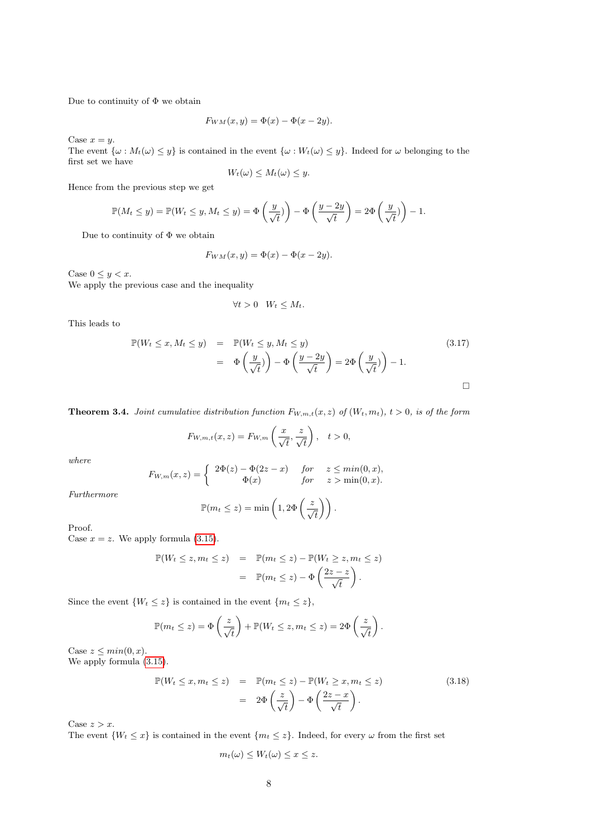Due to continuity of  $\Phi$  we obtain

$$
F_{WM}(x,y) = \Phi(x) - \Phi(x - 2y).
$$

Case  $x = y$ .

The event  $\{\omega : M_t(\omega) \leq y\}$  is contained in the event  $\{\omega : W_t(\omega) \leq y\}$ . Indeed for  $\omega$  belonging to the first set we have

$$
W_t(\omega) \leq M_t(\omega) \leq y.
$$

Hence from the previous step we get

$$
\mathbb{P}(M_t \leq y) = \mathbb{P}(W_t \leq y, M_t \leq y) = \Phi\left(\frac{y}{\sqrt{t}}\right) - \Phi\left(\frac{y - 2y}{\sqrt{t}}\right) = 2\Phi\left(\frac{y}{\sqrt{t}}\right) - 1.
$$

Due to continuity of Φ we obtain

$$
F_{WM}(x,y) = \Phi(x) - \Phi(x - 2y).
$$

Case  $0 \leq y < x$ .

We apply the previous case and the inequality

$$
\forall t > 0 \quad W_t \leq M_t.
$$

This leads to

$$
\mathbb{P}(W_t \le x, M_t \le y) = \mathbb{P}(W_t \le y, M_t \le y)
$$
\n
$$
= \Phi\left(\frac{y}{\sqrt{t}}\right) - \Phi\left(\frac{y - 2y}{\sqrt{t}}\right) = 2\Phi\left(\frac{y}{\sqrt{t}}\right) - 1.
$$
\n(3.17)

**Theorem 3.4.** Joint cumulative distribution function  $F_{W,m,t}(x, z)$  of  $(W_t, m_t)$ ,  $t > 0$ , is of the form

$$
F_{W,m,t}(x,z) = F_{W,m}\left(\frac{x}{\sqrt{t}}, \frac{z}{\sqrt{t}}\right), \quad t > 0,
$$

where

$$
F_{W,m}(x,z) = \begin{cases} 2\Phi(z) - \Phi(2z - x) & \text{for } z \le \min(0, x), \\ \Phi(x) & \text{for } z > \min(0, x). \end{cases}
$$

Furthermore

$$
\mathbb{P}(m_t \leq z) = \min\left(1, 2\Phi\left(\frac{z}{\sqrt{t}}\right)\right).
$$

Proof.

Case  $x = z$ . We apply formula [\(3.15\)](#page-6-1).

$$
\mathbb{P}(W_t \leq z, m_t \leq z) = \mathbb{P}(m_t \leq z) - \mathbb{P}(W_t \geq z, m_t \leq z)
$$

$$
= \mathbb{P}(m_t \leq z) - \Phi\left(\frac{2z - z}{\sqrt{t}}\right).
$$

Since the event  $\{W_t \leq z\}$  is contained in the event  $\{m_t \leq z\}$ ,

$$
\mathbb{P}(m_t \leq z) = \Phi\left(\frac{z}{\sqrt{t}}\right) + \mathbb{P}(W_t \leq z, m_t \leq z) = 2\Phi\left(\frac{z}{\sqrt{t}}\right).
$$

Case  $z \leq min(0, x)$ . We apply formula [\(3.15\)](#page-6-1).

$$
\mathbb{P}(W_t \le x, m_t \le z) = \mathbb{P}(m_t \le z) - \mathbb{P}(W_t \ge x, m_t \le z)
$$
\n
$$
= 2\Phi\left(\frac{z}{\sqrt{t}}\right) - \Phi\left(\frac{2z - x}{\sqrt{t}}\right).
$$
\n(3.18)

Case  $z > x$ .

The event  $\{W_t \leq x\}$  is contained in the event  $\{m_t \leq z\}$ . Indeed, for every  $\omega$  from the first set

$$
m_t(\omega) \le W_t(\omega) \le x \le z.
$$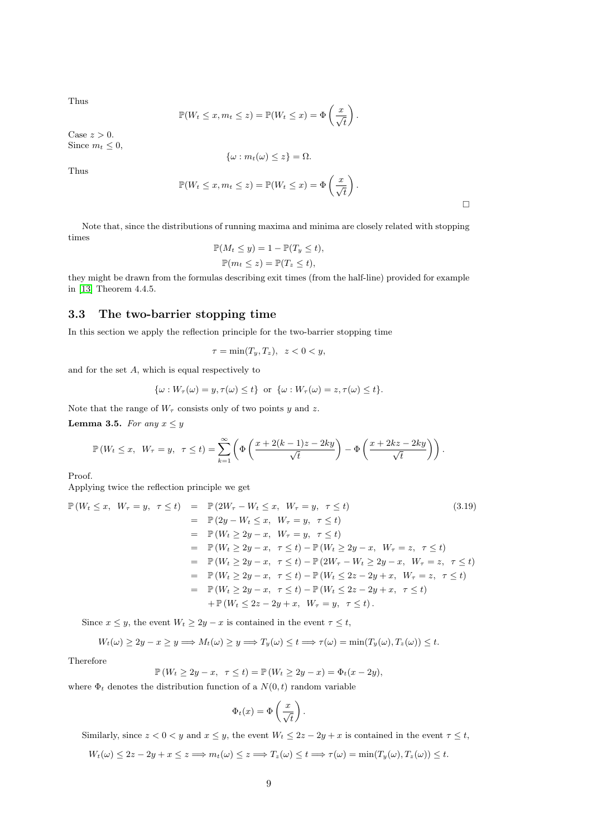Thus

$$
\mathbb{P}(W_t \leq x, m_t \leq z) = \mathbb{P}(W_t \leq x) = \Phi\left(\frac{x}{\sqrt{t}}\right).
$$

Case  $z > 0$ . Since  $m_t \leq 0$ ,

$$
\{\omega: m_t(\omega) \leq z\} = \Omega.
$$

Thus

$$
\mathbb{P}(W_t \leq x, m_t \leq z) = \mathbb{P}(W_t \leq x) = \Phi\left(\frac{x}{\sqrt{t}}\right).
$$

 $\Box$ 

Note that, since the distributions of running maxima and minima are closely related with stopping times

$$
\mathbb{P}(M_t \le y) = 1 - \mathbb{P}(T_y \le t),
$$
  

$$
\mathbb{P}(m_t \le z) = \mathbb{P}(T_z \le t),
$$

they might be drawn from the formulas describing exit times (from the half-line) provided for example in [\[13\]](#page-20-1) Theorem 4.4.5.

#### <span id="page-8-1"></span>3.3 The two-barrier stopping time

In this section we apply the reflection principle for the two-barrier stopping time

$$
\tau = \min(T_y, T_z), \ \ z < 0 < y,
$$

and for the set A, which is equal respectively to

$$
\{\omega: W_{\tau}(\omega)=y, \tau(\omega)\leq t\} \text{ or } \{\omega: W_{\tau}(\omega)=z, \tau(\omega)\leq t\}.
$$

Note that the range of  $W_\tau$  consists only of two points y and z.

<span id="page-8-0"></span>Lemma 3.5. For any  $x \leq y$ 

$$
\mathbb{P}(W_t \leq x, \ W_\tau = y, \ \tau \leq t) = \sum_{k=1}^{\infty} \left( \Phi\left(\frac{x + 2(k-1)z - 2ky}{\sqrt{t}}\right) - \Phi\left(\frac{x + 2kz - 2ky}{\sqrt{t}}\right) \right).
$$

Proof.

Applying twice the reflection principle we get

$$
\mathbb{P}(W_t \le x, W_\tau = y, \ \tau \le t) = \mathbb{P}(2W_\tau - W_t \le x, W_\tau = y, \ \tau \le t)
$$
\n
$$
= \mathbb{P}(2y - W_t \le x, W_\tau = y, \ \tau \le t)
$$
\n
$$
= \mathbb{P}(W_t \ge 2y - x, W_\tau = y, \ \tau \le t)
$$
\n
$$
= \mathbb{P}(W_t \ge 2y - x, \ \tau \le t) - \mathbb{P}(W_t \ge 2y - x, W_\tau = z, \ \tau \le t)
$$
\n
$$
= \mathbb{P}(W_t \ge 2y - x, \ \tau \le t) - \mathbb{P}(2W_\tau - W_t \ge 2y - x, W_\tau = z, \ \tau \le t)
$$
\n
$$
= \mathbb{P}(W_t \ge 2y - x, \ \tau \le t) - \mathbb{P}(W_t \le 2z - 2y + x, W_\tau = z, \ \tau \le t)
$$
\n
$$
= \mathbb{P}(W_t \ge 2y - x, \ \tau \le t) - \mathbb{P}(W_t \le 2z - 2y + x, \ \tau \le t)
$$
\n
$$
+ \mathbb{P}(W_t \le 2z - 2y + x, W_\tau = y, \ \tau \le t).
$$
\n(3.19)

Since  $x \leq y$ , the event  $W_t \geq 2y - x$  is contained in the event  $\tau \leq t$ ,

$$
W_t(\omega) \ge 2y - x \ge y \Longrightarrow M_t(\omega) \ge y \Longrightarrow T_y(\omega) \le t \Longrightarrow \tau(\omega) = \min(T_y(\omega), T_z(\omega)) \le t.
$$

Therefore

$$
\mathbb{P}(W_t \ge 2y - x, \ \tau \le t) = \mathbb{P}(W_t \ge 2y - x) = \Phi_t(x - 2y),
$$

where  $\Phi_t$  denotes the distribution function of a  $N(0, t)$  random variable

$$
\Phi_t(x) = \Phi\left(\frac{x}{\sqrt{t}}\right)
$$

Similarly, since  $z < 0 < y$  and  $x \le y$ , the event  $W_t \le 2z - 2y + x$  is contained in the event  $\tau \le t$ ,

.

$$
W_t(\omega) \le 2z - 2y + x \le z \implies m_t(\omega) \le z \implies T_z(\omega) \le t \implies \tau(\omega) = \min(T_y(\omega), T_z(\omega)) \le t.
$$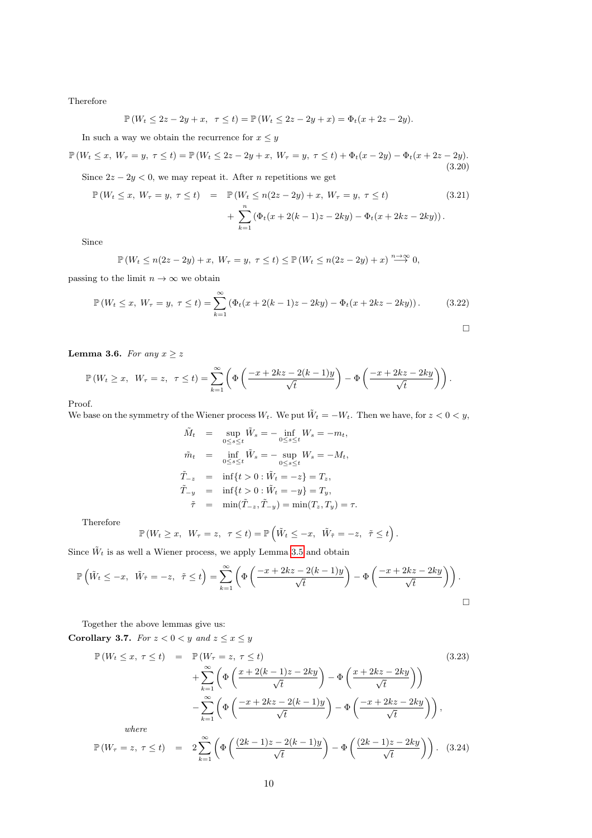Therefore

$$
\mathbb{P}(W_t \le 2z - 2y + x, \ \tau \le t) = \mathbb{P}(W_t \le 2z - 2y + x) = \Phi_t(x + 2z - 2y).
$$

In such a way we obtain the recurrence for  $x \leq y$ 

$$
\mathbb{P}(W_t \le x, W_\tau = y, \ \tau \le t) = \mathbb{P}(W_t \le 2z - 2y + x, W_\tau = y, \ \tau \le t) + \Phi_t(x - 2y) - \Phi_t(x + 2z - 2y). \tag{3.20}
$$

Since  $2z - 2y < 0$ , we may repeat it. After *n* repetitions we get

$$
\mathbb{P}(W_t \le x, W_\tau = y, \ \tau \le t) = \mathbb{P}(W_t \le n(2z - 2y) + x, W_\tau = y, \ \tau \le t)
$$
\n
$$
+ \sum_{k=1}^n (\Phi_t(x + 2(k - 1)z - 2ky) - \Phi_t(x + 2kz - 2ky)).
$$
\n(3.21)

Since

$$
\mathbb{P}\left(W_t \le n(2z - 2y) + x, \ W_\tau = y, \ \tau \le t\right) \le \mathbb{P}\left(W_t \le n(2z - 2y) + x\right) \stackrel{n \to \infty}{\longrightarrow} 0,
$$

passing to the limit  $n \to \infty$  we obtain

$$
\mathbb{P}(W_t \le x, W_\tau = y, \ \tau \le t) = \sum_{k=1}^{\infty} (\Phi_t(x + 2(k-1)z - 2ky) - \Phi_t(x + 2kz - 2ky)). \tag{3.22}
$$

<span id="page-9-0"></span>Lemma 3.6. For any  $x \geq z$ 

$$
\mathbb{P}\left(W_t \geq x, \ W_\tau = z, \ \tau \leq t\right) = \sum_{k=1}^{\infty} \left( \Phi\left(\frac{-x + 2kz - 2(k-1)y}{\sqrt{t}}\right) - \Phi\left(\frac{-x + 2kz - 2ky}{\sqrt{t}}\right) \right).
$$

Proof.

We base on the symmetry of the Wiener process  $W_t$ . We put  $\tilde{W}_t = -W_t$ . Then we have, for  $z < 0 < y$ ,  $\tilde{w}$  s  $\tilde{w}$  s  $\tilde{w}$  s  $\tilde{w}$  s  $\tilde{w}$  s  $\tilde{w}$  s  $\tilde{w}$  s  $\tilde{w}$  s  $\tilde{w}$  s  $\tilde{w}$  s  $\tilde{w}$  s  $\tilde{w}$  s  $\tilde{w}$  s  $\tilde{w}$  s  $\tilde{w}$  s  $\tilde{w}$  s  $\tilde{w}$  s  $\tilde{w}$  s  $\tilde{w}$  s  $\tilde{w}$  s

$$
\tilde{M}_t = \sup_{0 \le s \le t} \tilde{W}_s = -\inf_{0 \le s \le t} W_s = -m_t,
$$
  
\n
$$
\tilde{m}_t = \inf_{0 \le s \le t} \tilde{W}_s = -\sup_{0 \le s \le t} W_s = -M_t,
$$
  
\n
$$
\tilde{T}_{-z} = \inf\{t > 0 : \tilde{W}_t = -z\} = T_z,
$$
  
\n
$$
\tilde{T}_{-y} = \inf\{t > 0 : \tilde{W}_t = -y\} = T_y,
$$
  
\n
$$
\tilde{\tau} = \min(\tilde{T}_{-z}, \tilde{T}_{-y}) = \min(T_z, T_y) = \tau.
$$

Therefore

$$
\mathbb{P}\left(W_t \geq x, \ W_\tau = z, \ \tau \leq t\right) = \mathbb{P}\left(\tilde{W}_t \leq -x, \ \tilde{W}_{\tilde{\tau}} = -z, \ \tilde{\tau} \leq t\right).
$$

Since  $\tilde{W}_t$  is as well a Wiener process, we apply Lemma [3.5](#page-8-0) and obtain

$$
\mathbb{P}\left(\tilde{W}_t \leq -x, \ \tilde{W}_{\tilde{\tau}} = -z, \ \tilde{\tau} \leq t\right) = \sum_{k=1}^{\infty} \left(\Phi\left(\frac{-x + 2kz - 2(k-1)y}{\sqrt{t}}\right) - \Phi\left(\frac{-x + 2kz - 2ky}{\sqrt{t}}\right)\right).
$$

Together the above lemmas give us:

<span id="page-9-1"></span>Corollary 3.7. For  $z < 0 < y$  and  $z \le x \le y$ 

$$
\mathbb{P}\left(W_t \leq x, \ \tau \leq t\right) = \mathbb{P}\left(W_\tau = z, \ \tau \leq t\right) \tag{3.23}
$$
\n
$$
+ \sum_{k=1}^{\infty} \left( \Phi\left(\frac{x + 2(k-1)z - 2ky}{\sqrt{t}}\right) - \Phi\left(\frac{x + 2kz - 2ky}{\sqrt{t}}\right) \right)
$$
\n
$$
- \sum_{k=1}^{\infty} \left( \Phi\left(\frac{-x + 2kz - 2(k-1)y}{\sqrt{t}}\right) - \Phi\left(\frac{-x + 2kz - 2ky}{\sqrt{t}}\right) \right),
$$
\nwhere\n
$$
\mathbb{P}\left(W_\tau = z, \ \tau \leq t\right) = 2 \sum_{k=1}^{\infty} \left( \Phi\left(\frac{(2k-1)z - 2(k-1)y}{\sqrt{t}}\right) - \Phi\left(\frac{(2k-1)z - 2ky}{\sqrt{t}}\right) \right). \tag{3.24}
$$

$$
\mathbb{P}(W_{\tau} = z, \ \tau \le t) = 2 \sum_{k=1}^{\infty} \left( \Phi \left( \frac{(2k-1)z - 2(k-1)y}{\sqrt{t}} \right) - \Phi \left( \frac{(2k-1)z - 2ky}{\sqrt{t}} \right) \right). \tag{3.24}
$$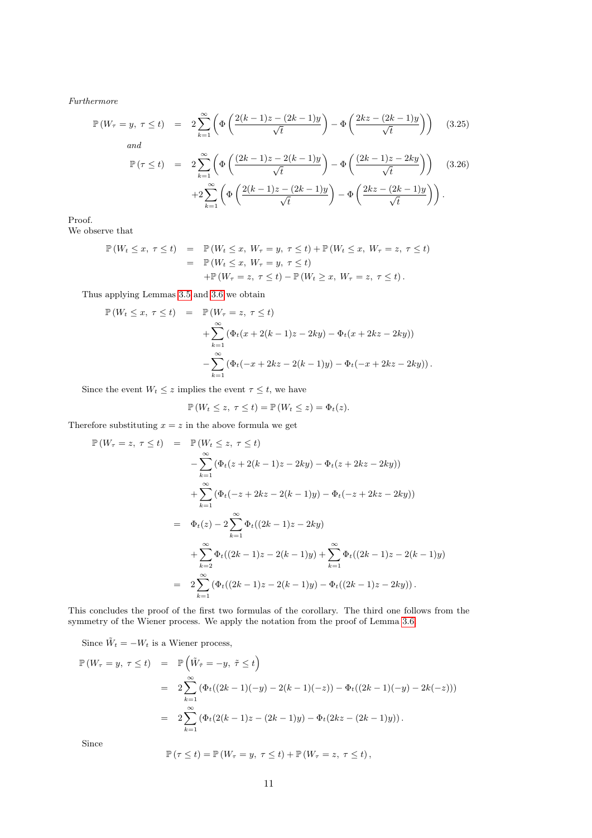Furthermore

<span id="page-10-0"></span>
$$
\mathbb{P}\left(W_{\tau}=y,\ \tau\leq t\right) = 2\sum_{k=1}^{\infty} \left(\Phi\left(\frac{2(k-1)z-(2k-1)y}{\sqrt{t}}\right) - \Phi\left(\frac{2kz-(2k-1)y}{\sqrt{t}}\right)\right) \quad (3.25)
$$
\nand

\n
$$
\mathbb{P}\left(\tau\leq t\right) = 2\sum_{k=1}^{\infty} \left(\Phi\left(\frac{(2k-1)z-2(k-1)y}{\sqrt{t}}\right) - \Phi\left(\frac{(2k-1)z-2ky}{\sqrt{t}}\right)\right) \quad (3.26)
$$
\n
$$
+2\sum_{k=1}^{\infty} \left(\Phi\left(\frac{2(k-1)z-(2k-1)y}{\sqrt{t}}\right) - \Phi\left(\frac{2kz-(2k-1)y}{\sqrt{t}}\right)\right).
$$

Proof.

We observe that

$$
\mathbb{P}(W_t \le x, \tau \le t) = \mathbb{P}(W_t \le x, W_\tau = y, \tau \le t) + \mathbb{P}(W_t \le x, W_\tau = z, \tau \le t)
$$
  
= 
$$
\mathbb{P}(W_t \le x, W_\tau = y, \tau \le t)
$$
  
+ 
$$
\mathbb{P}(W_\tau = z, \tau \le t) - \mathbb{P}(W_t \ge x, W_\tau = z, \tau \le t).
$$

Thus applying Lemmas [3.5](#page-8-0) and [3.6](#page-9-0) we obtain

$$
\mathbb{P}(W_t \le x, \ \tau \le t) = \mathbb{P}(W_{\tau} = z, \ \tau \le t) \n+ \sum_{k=1}^{\infty} (\Phi_t(x + 2(k-1)z - 2ky) - \Phi_t(x + 2kz - 2ky)) \n- \sum_{k=1}^{\infty} (\Phi_t(-x + 2kz - 2(k-1)y) - \Phi_t(-x + 2kz - 2ky)).
$$

Since the event  $W_t \leq z$  implies the event  $\tau \leq t$ , we have

$$
\mathbb{P}\left(W_t \leq z, \ \tau \leq t\right) = \mathbb{P}\left(W_t \leq z\right) = \Phi_t(z).
$$

Therefore substituting  $x = z$  in the above formula we get

$$
\mathbb{P}(W_{\tau} = z, \ \tau \leq t) = \mathbb{P}(W_t \leq z, \ \tau \leq t)
$$
  
\n
$$
-\sum_{k=1}^{\infty} (\Phi_t(z + 2(k - 1)z - 2ky) - \Phi_t(z + 2kz - 2ky))
$$
  
\n
$$
+\sum_{k=1}^{\infty} (\Phi_t(-z + 2kz - 2(k - 1)y) - \Phi_t(-z + 2kz - 2ky))
$$
  
\n
$$
= \Phi_t(z) - 2\sum_{k=1}^{\infty} \Phi_t((2k - 1)z - 2ky)
$$
  
\n
$$
+\sum_{k=2}^{\infty} \Phi_t((2k - 1)z - 2(k - 1)y) + \sum_{k=1}^{\infty} \Phi_t((2k - 1)z - 2(k - 1)y)
$$
  
\n
$$
= 2\sum_{k=1}^{\infty} (\Phi_t((2k - 1)z - 2(k - 1)y) - \Phi_t((2k - 1)z - 2ky)).
$$

This concludes the proof of the first two formulas of the corollary. The third one follows from the symmetry of the Wiener process. We apply the notation from the proof of Lemma [3.6.](#page-9-0)

Since  $\tilde{W}_t = -W_t$  is a Wiener process,

$$
\mathbb{P}(W_{\tau} = y, \ \tau \leq t) = \mathbb{P}\left(\tilde{W}_{\tilde{\tau}} = -y, \ \tilde{\tau} \leq t\right)
$$
  
\n
$$
= 2 \sum_{k=1}^{\infty} \left(\Phi_t((2k-1)(-y) - 2(k-1)(-z)) - \Phi_t((2k-1)(-y) - 2k(-z))\right)
$$
  
\n
$$
= 2 \sum_{k=1}^{\infty} \left(\Phi_t(2(k-1)z - (2k-1)y) - \Phi_t(2kz - (2k-1)y)\right).
$$

Since

$$
\mathbb{P}(\tau \leq t) = \mathbb{P}(W_{\tau} = y, \ \tau \leq t) + \mathbb{P}(W_{\tau} = z, \ \tau \leq t),
$$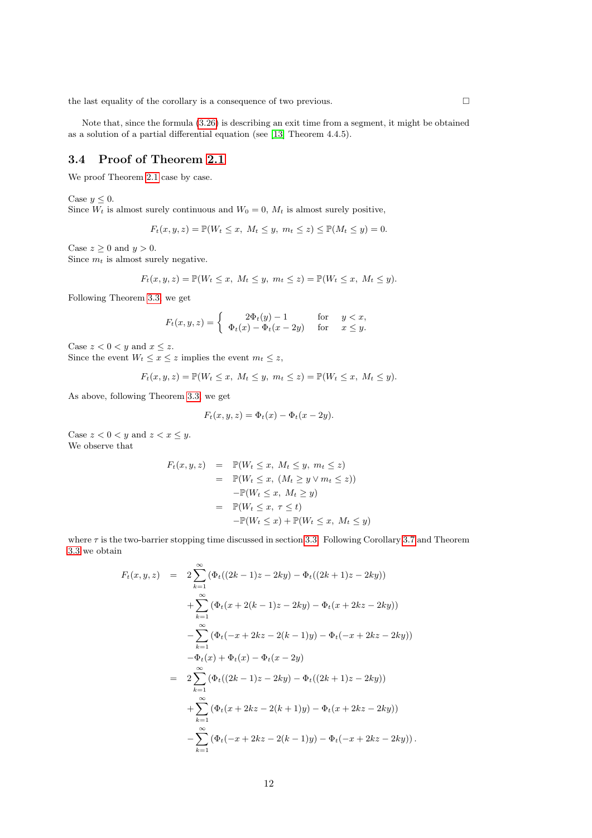the last equality of the corollary is a consequence of two previous.  $\hfill \Box$ 

Note that, since the formula [\(3.26\)](#page-10-0) is describing an exit time from a segment, it might be obtained as a solution of a partial differential equation (see [\[13\]](#page-20-1) Theorem 4.4.5).

### <span id="page-11-0"></span>3.4 Proof of Theorem [2.1](#page-1-1)

We proof Theorem [2.1](#page-1-1) case by case.

Case  $y \leq 0$ .

Since  $W_t$  is almost surely continuous and  $W_0 = 0$ ,  $M_t$  is almost surely positive,

$$
F_t(x, y, z) = \mathbb{P}(W_t \le x, M_t \le y, m_t \le z) \le \mathbb{P}(M_t \le y) = 0.
$$

Case  $z \geq 0$  and  $y > 0$ .

Since  $m_t$  is almost surely negative.

$$
F_t(x, y, z) = \mathbb{P}(W_t \le x, M_t \le y, m_t \le z) = \mathbb{P}(W_t \le x, M_t \le y).
$$

Following Theorem [3.3,](#page-6-2) we get

$$
F_t(x, y, z) = \begin{cases} 2\Phi_t(y) - 1 & \text{for } y < x, \\ \Phi_t(x) - \Phi_t(x - 2y) & \text{for } x \le y. \end{cases}
$$

Case  $z < 0 < y$  and  $x \le z$ .

Since the event  $W_t \leq x \leq z$  implies the event  $m_t \leq z$ ,

$$
F_t(x, y, z) = \mathbb{P}(W_t \le x, M_t \le y, m_t \le z) = \mathbb{P}(W_t \le x, M_t \le y).
$$

As above, following Theorem [3.3,](#page-6-2) we get

$$
F_t(x, y, z) = \Phi_t(x) - \Phi_t(x - 2y).
$$

Case  $z < 0 < y$  and  $z < x \le y$ . We observe that

$$
F_t(x, y, z) = \mathbb{P}(W_t \le x, M_t \le y, m_t \le z)
$$
  
=  $\mathbb{P}(W_t \le x, (M_t \ge y \vee m_t \le z))$   
 $-\mathbb{P}(W_t \le x, M_t \ge y)$   
=  $\mathbb{P}(W_t \le x, \tau \le t)$   
 $-\mathbb{P}(W_t \le x) + \mathbb{P}(W_t \le x, M_t \le y)$ 

where  $\tau$  is the two-barrier stopping time discussed in section [3.3.](#page-8-1) Following Corollary [3.7](#page-9-1) and Theorem [3.3](#page-6-2) we obtain

$$
F_t(x, y, z) = 2 \sum_{k=1}^{\infty} (\Phi_t((2k - 1)z - 2ky) - \Phi_t((2k + 1)z - 2ky))
$$
  
+ 
$$
\sum_{k=1}^{\infty} (\Phi_t(x + 2(k - 1)z - 2ky) - \Phi_t(x + 2kz - 2ky))
$$
  
- 
$$
\sum_{k=1}^{\infty} (\Phi_t(-x + 2kz - 2(k - 1)y) - \Phi_t(-x + 2kz - 2ky))
$$
  
- 
$$
\Phi_t(x) + \Phi_t(x) - \Phi_t(x - 2y)
$$
  
= 
$$
2 \sum_{k=1}^{\infty} (\Phi_t((2k - 1)z - 2ky) - \Phi_t((2k + 1)z - 2ky))
$$
  
+ 
$$
\sum_{k=1}^{\infty} (\Phi_t(x + 2kz - 2(k + 1)y) - \Phi_t(x + 2kz - 2ky))
$$
  
- 
$$
\sum_{k=1}^{\infty} (\Phi_t(-x + 2kz - 2(k - 1)y) - \Phi_t(-x + 2kz - 2ky)).
$$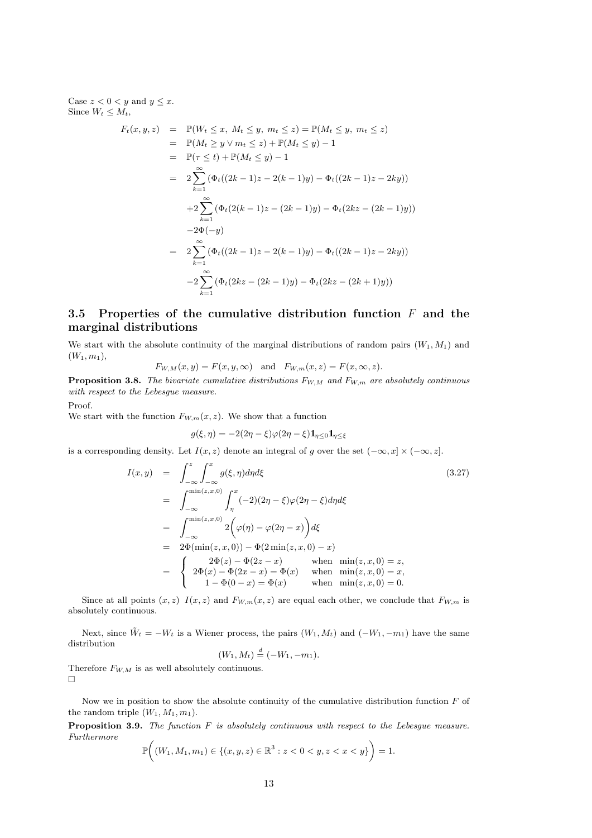Case  $z < 0 < y$  and  $y \leq x$ . Since  $W_t \leq M_t$ ,

$$
F_t(x, y, z) = \mathbb{P}(W_t \le x, M_t \le y, m_t \le z) = \mathbb{P}(M_t \le y, m_t \le z)
$$
  
\n
$$
= \mathbb{P}(M_t \ge y \vee m_t \le z) + \mathbb{P}(M_t \le y) - 1
$$
  
\n
$$
= \mathbb{P}(\tau \le t) + \mathbb{P}(M_t \le y) - 1
$$
  
\n
$$
= 2 \sum_{k=1}^{\infty} (\Phi_t((2k-1)z - 2(k-1)y) - \Phi_t((2k-1)z - 2ky))
$$
  
\n
$$
+ 2 \sum_{k=1}^{\infty} (\Phi_t(2(k-1)z - (2k-1)y) - \Phi_t(2kz - (2k-1)y))
$$
  
\n
$$
-2\Phi(-y)
$$
  
\n
$$
= 2 \sum_{k=1}^{\infty} (\Phi_t((2k-1)z - 2(k-1)y) - \Phi_t((2k-1)z - 2ky))
$$
  
\n
$$
-2 \sum_{k=1}^{\infty} (\Phi_t(2kz - (2k-1)y) - \Phi_t(2kz - (2k+1)y))
$$

#### <span id="page-12-0"></span>3.5 Properties of the cumulative distribution function  $F$  and the marginal distributions

We start with the absolute continuity of the marginal distributions of random pairs  $(W_1, M_1)$  and  $(W_1, m_1),$ 

$$
F_{W,M}(x,y) = F(x,y,\infty) \quad \text{and} \quad F_{W,m}(x,z) = F(x,\infty,z).
$$

**Proposition 3.8.** The bivariate cumulative distributions  $F_{W,M}$  and  $F_{W,m}$  are absolutely continuous with respect to the Lebesgue measure.

Proof.

We start with the function  $F_{W,m}(x, z)$ . We show that a function

$$
g(\xi,\eta) = -2(2\eta - \xi)\varphi(2\eta - \xi)\mathbf{1}_{\eta \le 0} \mathbf{1}_{\eta \le \xi}
$$

is a corresponding density. Let  $I(x, z)$  denote an integral of g over the set  $(-\infty, x] \times (-\infty, z]$ .

$$
I(x,y) = \int_{-\infty}^{z} \int_{-\infty}^{x} g(\xi, \eta) d\eta d\xi
$$
(3.27)  
\n
$$
= \int_{-\infty}^{\min(z,x,0)} \int_{\eta}^{x} (-2)(2\eta - \xi)\varphi(2\eta - \xi) d\eta d\xi
$$
  
\n
$$
= \int_{-\infty}^{\min(z,x,0)} 2\left(\varphi(\eta) - \varphi(2\eta - x)\right) d\xi
$$
  
\n
$$
= 2\Phi(\min(z,x,0)) - \Phi(2\min(z,x,0) - x)
$$
  
\n
$$
= \begin{cases} 2\Phi(z) - \Phi(2z - x) & \text{when } \min(z,x,0) = z, \\ 2\Phi(x) - \Phi(2x - x) = \Phi(x) & \text{when } \min(z,x,0) = x, \\ 1 - \Phi(0 - x) = \Phi(x) & \text{when } \min(z,x,0) = 0. \end{cases}
$$

Since at all points  $(x, z) I(x, z)$  and  $F_{W,m}(x, z)$  are equal each other, we conclude that  $F_{W,m}$  is absolutely continuous.

Next, since  $\tilde{W}_t = -W_t$  is a Wiener process, the pairs  $(W_1, M_t)$  and  $(-W_1, -m_1)$  have the same distribution

$$
(W_1, M_t) \stackrel{d}{=} (-W_1, -m_1).
$$

Therefore  $F_{W,M}$  is as well absolutely continuous.  $\Box$ 

Now we in position to show the absolute continuity of the cumulative distribution function  $F$  of the random triple  $(W_1, M_1, m_1)$ .

**Proposition 3.9.** The function  $F$  is absolutely continuous with respect to the Lebesgue measure. Furthermore

$$
\mathbb{P}\bigg((W_1, M_1, m_1) \in \{(x, y, z) \in \mathbb{R}^3 : z < 0 < y, z < x < y\}\bigg) = 1.
$$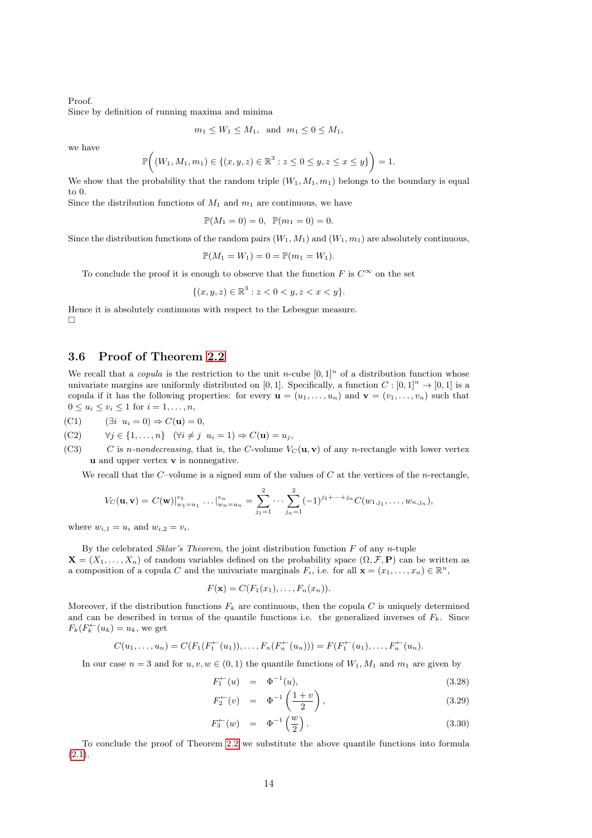Proof.

Since by definition of running maxima and minima

$$
m_1 \le W_1 \le M_1
$$
, and  $m_1 \le 0 \le M_1$ ,

we have

$$
\mathbb{P}\bigg((W_1, M_1, m_1) \in \{(x, y, z) \in \mathbb{R}^3 : z \le 0 \le y, z \le x \le y\}\bigg) = 1.
$$

We show that the probability that the random triple  $(W_1, M_1, m_1)$  belongs to the boundary is equal to 0.

Since the distribution functions of  $M_1$  and  $m_1$  are continuous, we have

$$
\mathbb{P}(M_1 = 0) = 0, \ \mathbb{P}(m_1 = 0) = 0.
$$

Since the distribution functions of the random pairs  $(W_1, M_1)$  and  $(W_1, m_1)$  are absolutely continuous,

$$
\mathbb{P}(M_1 = W_1) = 0 = \mathbb{P}(m_1 = W_1).
$$

To conclude the proof it is enough to observe that the function  $F$  is  $C^{\infty}$  on the set

$$
\{(x, y, z) \in \mathbb{R}^3 : z < 0 < y, z < x < y\}.
$$

Hence it is absolutely continuous with respect to the Lebesgue measure.  $\Box$ 

#### <span id="page-13-0"></span>3.6 Proof of Theorem [2.2](#page-1-2)

We recall that a *copula* is the restriction to the unit n-cube  $[0,1]^n$  of a distribution function whose univariate margins are uniformly distributed on [0, 1]. Specifically, a function  $C : [0,1]^n \rightarrow [0,1]$  is a copula if it has the following properties: for every  $\mathbf{u} = (u_1, \ldots, u_n)$  and  $\mathbf{v} = (v_1, \ldots, v_n)$  such that  $0 \leq u_i \leq v_i \leq 1$  for  $i = 1, \ldots, n$ ,

(C1)  $(\exists i \ u_i = 0) \Rightarrow C(\mathbf{u}) = 0,$ 

(C2) 
$$
\forall j \in \{1, ..., n\} \quad (\forall i \neq j \ \ u_i = 1) \Rightarrow C(\mathbf{u}) = u_j,
$$

(C3) C is n-nondecreasing, that is, the C-volume  $V_C(\mathbf{u}, \mathbf{v})$  of any n-rectangle with lower vertex u and upper vertex v is nonnegative.

We recall that the  $C$ -volume is a signed sum of the values of  $C$  at the vertices of the *n*-rectangle,

$$
V_C(\mathbf{u}, \mathbf{v}) = C(\mathbf{w})\big|_{w_1=u_1}^{v_1} \cdots \big|_{w_n=u_n}^{v_n} = \sum_{j_1=1}^2 \cdots \sum_{j_n=1}^2 (-1)^{j_1+\cdots+j_n} C(w_{1,j_1}, \ldots, w_{n,j_n}),
$$

where  $w_{i,1} = u_i$  and  $w_{i,2} = v_i$ .

By the celebrated Sklar's Theorem, the joint distribution function  $F$  of any n-tuple  $\mathbf{X} = (X_1, \ldots, X_n)$  of random variables defined on the probability space  $(\Omega, \mathcal{F}, \mathbf{P})$  can be written as a composition of a copula C and the univariate marginals  $F_i$ , i.e. for all  $\mathbf{x} = (x_1, \ldots, x_n) \in \mathbb{R}^n$ ,

$$
F(\mathbf{x})=C(F_1(x_1),\ldots,F_n(x_n)).
$$

Moreover, if the distribution functions  $F_k$  are continuous, then the copula C is uniquely determined and can be described in terms of the quantile functions i.e. the generalized inverses of  $F_k$ . Since  $F_k(F_k^{\leftarrow}(u_k) = u_k$ , we get

$$
C(u_1, \ldots, u_n) = C(F_1(F_1^{\leftarrow}(u_1)), \ldots, F_n(F_n^{\leftarrow}(u_n))) = F(F_1^{\leftarrow}(u_1), \ldots, F_n^{\leftarrow}(u_n)).
$$

In our case  $n = 3$  and for  $u, v, w \in (0, 1)$  the quantile functions of  $W_1, M_1$  and  $m_1$  are given by

$$
F_1^{\leftarrow}(u) = \Phi^{-1}(u), \tag{3.28}
$$

$$
F_2^{\leftarrow}(v) = \Phi^{-1}\left(\frac{1+v}{2}\right), \tag{3.29}
$$

$$
F_3^{\leftarrow}(w) = \Phi^{-1}\left(\frac{w}{2}\right). \tag{3.30}
$$

To conclude the proof of Theorem [2.2](#page-1-2) we substitute the above quantile functions into formula  $(2.1).$  $(2.1).$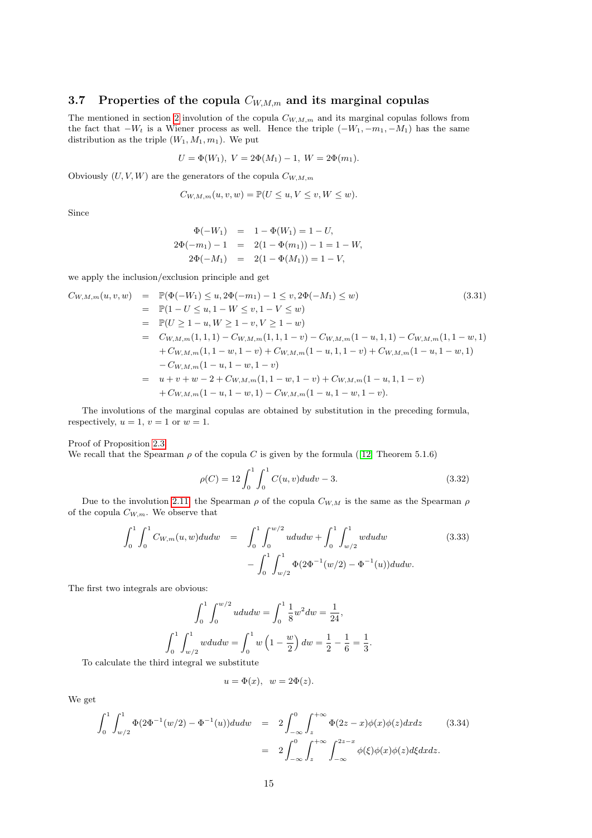#### <span id="page-14-0"></span>3.7 Properties of the copula  $C_{W,M,m}$  and its marginal copulas

The mentioned in section [2](#page-0-0) involution of the copula  $C_{W,M,m}$  and its marginal copulas follows from the fact that  $-W_t$  is a Wiener process as well. Hence the triple  $(-W_1, -m_1, -M_1)$  has the same distribution as the triple  $(W_1, M_1, m_1)$ . We put

$$
U = \Phi(W_1), \ V = 2\Phi(M_1) - 1, \ W = 2\Phi(m_1).
$$

Obviously  $(U, V, W)$  are the generators of the copula  $C_{W, M, m}$ 

$$
C_{W,M,m}(u,v,w) = \mathbb{P}(U \le u, V \le v, W \le w).
$$

Since

$$
\Phi(-W_1) = 1 - \Phi(W_1) = 1 - U,
$$
  
\n
$$
2\Phi(-m_1) - 1 = 2(1 - \Phi(m_1)) - 1 = 1 - W,
$$
  
\n
$$
2\Phi(-M_1) = 2(1 - \Phi(M_1)) = 1 - V,
$$

we apply the inclusion/exclusion principle and get

$$
C_{W,M,m}(u,v,w) = \mathbb{P}(\Phi(-W_1) \le u, 2\Phi(-m_1) - 1 \le v, 2\Phi(-M_1) \le w)
$$
\n
$$
= \mathbb{P}(1 - U \le u, 1 - W \le v, 1 - V \le w)
$$
\n
$$
= \mathbb{P}(U \ge 1 - u, W \ge 1 - v, V \ge 1 - w)
$$
\n
$$
= C_{W,M,m}(1,1,1) - C_{W,M,m}(1,1,1-v) - C_{W,M,m}(1-u,1,1) - C_{W,M,m}(1,1-w,1)
$$
\n
$$
+ C_{W,M,m}(1,1-w,1-v) + C_{W,M,m}(1-u,1,1-v) + C_{W,M,m}(1-u,1-w,1)
$$
\n
$$
- C_{W,M,m}(1-u,1-w,1-v)
$$
\n
$$
= u + v + w - 2 + C_{W,M,m}(1,1-w,1-v) + C_{W,M,m}(1-u,1,1-v)
$$
\n
$$
+ C_{W,M,m}(1-u,1-w,1) - C_{W,M,m}(1-u,1-w,1-v).
$$
\n(3.31)

The involutions of the marginal copulas are obtained by substitution in the preceding formula, respectively,  $u = 1$ ,  $v = 1$  or  $w = 1$ .

Proof of Proposition [2.3.](#page-3-1)

We recall that the Spearman  $\rho$  of the copula C is given by the formula ([\[12\]](#page-20-0) Theorem 5.1.6)

$$
\rho(C) = 12 \int_0^1 \int_0^1 C(u, v) du dv - 3. \tag{3.32}
$$

Due to the involution [2.11,](#page-3-2) the Spearman  $\rho$  of the copula  $C_{W,M}$  is the same as the Spearman  $\rho$ of the copula  $C_{W,m}$ . We observe that

$$
\int_0^1 \int_0^1 C_{W,m}(u, w) du dw = \int_0^1 \int_0^{w/2} u du dw + \int_0^1 \int_{w/2}^1 w du dw
$$
\n
$$
- \int_0^1 \int_{w/2}^1 \Phi(2\Phi^{-1}(w/2) - \Phi^{-1}(u)) du dw.
$$
\n(3.33)

The first two integrals are obvious:

$$
\int_0^1 \int_0^{w/2} u du dw = \int_0^1 \frac{1}{8} w^2 dw = \frac{1}{24},
$$
  

$$
\int_0^1 \int_{w/2}^1 w du dw = \int_0^1 w \left( 1 - \frac{w}{2} \right) dw = \frac{1}{2} - \frac{1}{6} = \frac{1}{3}.
$$

To calculate the third integral we substitute

$$
u = \Phi(x), \ \ w = 2\Phi(z).
$$

We get

$$
\int_{0}^{1} \int_{w/2}^{1} \Phi(2\Phi^{-1}(w/2) - \Phi^{-1}(u)) du dw = 2 \int_{-\infty}^{0} \int_{z}^{+\infty} \Phi(2z - x) \phi(x) \phi(z) dx dz
$$
(3.34)  
= 
$$
2 \int_{-\infty}^{0} \int_{z}^{+\infty} \int_{-\infty}^{2z - x} \phi(\xi) \phi(x) \phi(z) d\xi dx dz.
$$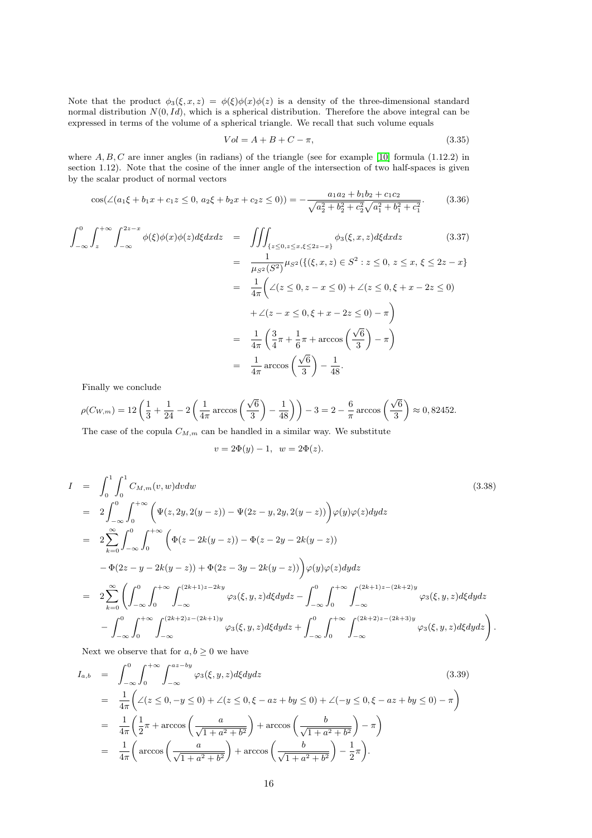Note that the product  $\phi_3(\xi, x, z) = \phi(\xi)\phi(x)\phi(z)$  is a density of the three-dimensional standard normal distribution  $N(0, Id)$ , which is a spherical distribution. Therefore the above integral can be expressed in terms of the volume of a spherical triangle. We recall that such volume equals

$$
Vol = A + B + C - \pi,
$$
\n
$$
(3.35)
$$

where  $A, B, C$  are inner angles (in radians) of the triangle (see for example [\[10\]](#page-19-8) formula (1.12.2) in section 1.12). Note that the cosine of the inner angle of the intersection of two half-spaces is given by the scalar product of normal vectors

$$
\cos(\angle(a_1\xi + b_1x + c_1z \le 0, a_2\xi + b_2x + c_2z \le 0)) = -\frac{a_1a_2 + b_1b_2 + c_1c_2}{\sqrt{a_2^2 + b_2^2 + c_2^2}\sqrt{a_1^2 + b_1^2 + c_1^2}}.
$$
(3.36)

$$
\int_{-\infty}^{0} \int_{z}^{+\infty} \int_{-\infty}^{2z-x} \phi(\xi)\phi(x)\phi(z)d\xi dx dz = \iiint_{\{z \le 0, z \le x, \xi \le 2z-x\}} \phi_{3}(\xi, x, z)d\xi dx dz
$$
 (3.37)  
\n
$$
= \frac{1}{\mu_{S^{2}}(S^{2})}\mu_{S^{2}}(\{(\xi, x, z) \in S^{2} : z \le 0, z \le x, \xi \le 2z-x\}
$$
\n
$$
= \frac{1}{4\pi} \left( \angle(z \le 0, z-x \le 0) + \angle(z \le 0, \xi+x-2z \le 0) + \angle(z-x \le 0, \xi+x-2z \le 0) \right)
$$
\n
$$
+ \angle(z-x \le 0, \xi+x-2z \le 0) - \pi \right)
$$
\n
$$
= \frac{1}{4\pi} \left( \frac{3}{4}\pi + \frac{1}{6}\pi + \arccos\left(\frac{\sqrt{6}}{3}\right) - \pi \right)
$$
\n
$$
= \frac{1}{4\pi} \arccos\left(\frac{\sqrt{6}}{3}\right) - \frac{1}{48}.
$$
 (3.37)

Finally we conclude

$$
\rho(C_{W,m}) = 12\left(\frac{1}{3} + \frac{1}{24} - 2\left(\frac{1}{4\pi}\arccos\left(\frac{\sqrt{6}}{3}\right) - \frac{1}{48}\right)\right) - 3 = 2 - \frac{6}{\pi}\arccos\left(\frac{\sqrt{6}}{3}\right) \approx 0,82452.
$$

The case of the copula  $C_{M,m}$  can be handled in a similar way. We substitute

$$
v = 2\Phi(y) - 1, \ \ w = 2\Phi(z).
$$

$$
I = \int_{0}^{1} \int_{0}^{1} C_{M,m}(v, w) dv dw
$$
\n
$$
= 2 \int_{-\infty}^{0} \int_{0}^{+\infty} \left( \Psi(z, 2y, 2(y - z)) - \Psi(2z - y, 2y, 2(y - z)) \right) \varphi(y) \varphi(z) dy dz
$$
\n
$$
= 2 \sum_{k=0}^{\infty} \int_{-\infty}^{0} \int_{0}^{+\infty} \left( \Phi(z - 2k(y - z)) - \Phi(z - 2y - 2k(y - z)) \right) \varphi(y) \varphi(z) dy dz
$$
\n
$$
= \Phi(2z - y - 2k(y - z)) + \Phi(2z - 3y - 2k(y - z)) \Big) \varphi(y) \varphi(z) dy dz
$$
\n
$$
= 2 \sum_{k=0}^{\infty} \left( \int_{-\infty}^{0} \int_{0}^{+\infty} \int_{-\infty}^{(2k+1)z - 2ky} \varphi_{3}(\xi, y, z) d\xi dy dz - \int_{-\infty}^{0} \int_{0}^{+\infty} \int_{-\infty}^{(2k+1)z - (2k+2)y} \varphi_{3}(\xi, y, z) d\xi dy dz \right)
$$
\n
$$
- \int_{-\infty}^{0} \int_{0}^{+\infty} \int_{-\infty}^{(2k+2)z - (2k+1)y} \varphi_{3}(\xi, y, z) d\xi dy dz + \int_{-\infty}^{0} \int_{0}^{+\infty} \int_{-\infty}^{(2k+2)z - (2k+3)y} \varphi_{3}(\xi, y, z) d\xi dy dz \right).
$$
\n(3.38)

Next we observe that for  $a, b \geq 0$  we have

$$
I_{a,b} = \int_{-\infty}^{0} \int_{0}^{+\infty} \int_{-\infty}^{az - by} \varphi_{3}(\xi, y, z) d\xi dy dz
$$
\n(3.39)  
\n
$$
= \frac{1}{4\pi} \left( \angle (z \le 0, -y \le 0) + \angle (z \le 0, \xi - az + by \le 0) + \angle (-y \le 0, \xi - az + by \le 0) - \pi \right)
$$
\n
$$
= \frac{1}{4\pi} \left( \frac{1}{2} \pi + \arccos \left( \frac{a}{\sqrt{1 + a^{2} + b^{2}}} \right) + \arccos \left( \frac{b}{\sqrt{1 + a^{2} + b^{2}}} \right) - \pi \right)
$$
\n
$$
= \frac{1}{4\pi} \left( \arccos \left( \frac{a}{\sqrt{1 + a^{2} + b^{2}}} \right) + \arccos \left( \frac{b}{\sqrt{1 + a^{2} + b^{2}}} \right) - \frac{1}{2} \pi \right).
$$
\n(3.39)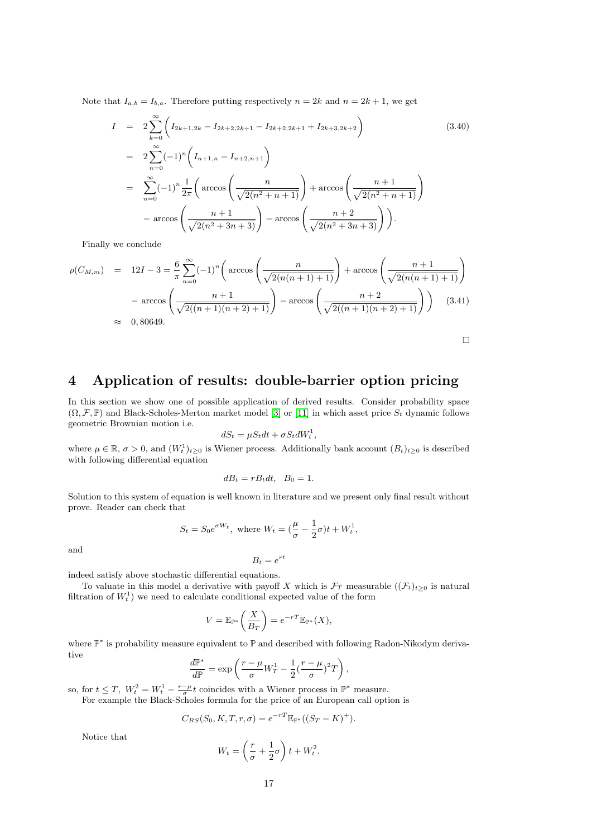Note that  $I_{a,b} = I_{b,a}$ . Therefore putting respectively  $n = 2k$  and  $n = 2k + 1$ , we get

$$
I = 2 \sum_{k=0}^{\infty} \left( I_{2k+1,2k} - I_{2k+2,2k+1} - I_{2k+2,2k+1} + I_{2k+3,2k+2} \right)
$$
(3.40)  

$$
= 2 \sum_{n=0}^{\infty} (-1)^n \left( I_{n+1,n} - I_{n+2,n+1} \right)
$$
  

$$
= \sum_{n=0}^{\infty} (-1)^n \frac{1}{2\pi} \left( \arccos \left( \frac{n}{\sqrt{2(n^2+n+1)}} \right) + \arccos \left( \frac{n+1}{\sqrt{2(n^2+n+1)}} \right) \right)
$$
  

$$
- \arccos \left( \frac{n+1}{\sqrt{2(n^2+3n+3)}} \right) - \arccos \left( \frac{n+2}{\sqrt{2(n^2+3n+3)}} \right) \right).
$$

Finally we conclude

$$
\rho(C_{M,m}) = 12I - 3 = \frac{6}{\pi} \sum_{n=0}^{\infty} (-1)^n \left( \arccos\left(\frac{n}{\sqrt{2(n(n+1)+1)}}\right) + \arccos\left(\frac{n+1}{\sqrt{2(n(n+1)+1)}}\right) - \arccos\left(\frac{n+1}{\sqrt{2((n+1)(n+2)+1)}}\right) - \arccos\left(\frac{n+2}{\sqrt{2((n+1)(n+2)+1)}}\right) \right)
$$
(3.41)  
\n
$$
\approx 0,80649.
$$

# 4 Application of results: double-barrier option pricing

In this section we show one of possible application of derived results. Consider probability space  $(\Omega, \mathcal{F}, \mathbb{P})$  and Black-Scholes-Merton market model [\[3\]](#page-19-9) or [\[11\]](#page-19-10) in which asset price  $S_t$  dynamic follows geometric Brownian motion i.e.

$$
dS_t = \mu S_t dt + \sigma S_t dW_t^1,
$$

where  $\mu \in \mathbb{R}$ ,  $\sigma > 0$ , and  $(W_t^1)_{t \geq 0}$  is Wiener process. Additionally bank account  $(B_t)_{t \geq 0}$  is described with following differential equation

$$
dB_t = rB_t dt, \quad B_0 = 1.
$$

Solution to this system of equation is well known in literature and we present only final result without prove. Reader can check that

$$
S_t = S_0 e^{\sigma W_t}, \text{ where } W_t = \left(\frac{\mu}{\sigma} - \frac{1}{2}\sigma\right)t + W_t^1,
$$

and

$$
B_t = e^{rt}
$$

indeed satisfy above stochastic differential equations.

To valuate in this model a derivative with payoff X which is  $\mathcal{F}_T$  measurable  $((\mathcal{F}_t)_{t>0}$  is natural filtration of  $W_t^1$ ) we need to calculate conditional expected value of the form

$$
V = \mathbb{E}_{\mathbb{P}^*} \left( \frac{X}{B_T} \right) = e^{-rT} \mathbb{E}_{\mathbb{P}^*}(X),
$$

where  $\mathbb{P}^*$  is probability measure equivalent to  $\mathbb P$  and described with following Radon-Nikodym derivative

$$
\frac{d\mathbb{P}^*}{d\mathbb{P}} = \exp\left(\frac{r-\mu}{\sigma}W_T^1 - \frac{1}{2}(\frac{r-\mu}{\sigma})^2T\right),\,
$$

so, for  $t \leq T$ ,  $W_t^2 = W_t^1 - \frac{r-\mu}{\sigma}t$  coincides with a Wiener process in  $\mathbb{P}^*$  measure.

For example the Black-Scholes formula for the price of an European call option is

$$
C_{BS}(S_0, K, T, r, \sigma) = e^{-rT} \mathbb{E}_{\mathbb{P}^*}((S_T - K)^+).
$$

Notice that

$$
W_t = \left(\frac{r}{\sigma} + \frac{1}{2}\sigma\right)t + W_t^2.
$$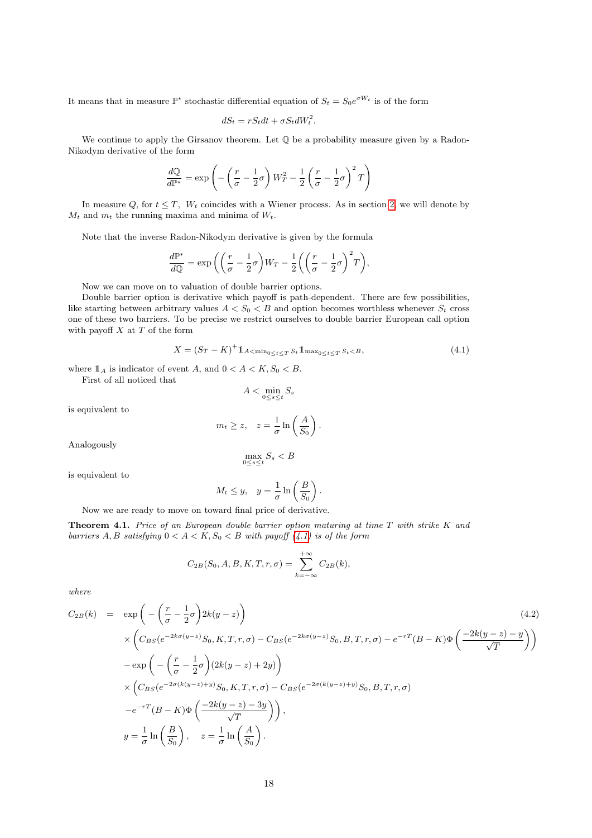It means that in measure  $\mathbb{P}^*$  stochastic differential equation of  $S_t = S_0 e^{\sigma W_t}$  is of the form

$$
dS_t = rS_t dt + \sigma S_t dW_t^2.
$$

We continue to apply the Girsanov theorem. Let  $\mathbb O$  be a probability measure given by a Radon-Nikodym derivative of the form

$$
\frac{d\mathbb{Q}}{d\mathbb{P}^*} = \exp\left(-\left(\frac{r}{\sigma} - \frac{1}{2}\sigma\right)W_T^2 - \frac{1}{2}\left(\frac{r}{\sigma} - \frac{1}{2}\sigma\right)^2T\right)
$$

In measure Q, for  $t \leq T$ ,  $W_t$  coincides with a Wiener process. As in section [2,](#page-0-0) we will denote by  $M_t$  and  $m_t$  the running maxima and minima of  $W_t$ .

Note that the inverse Radon-Nikodym derivative is given by the formula

$$
\frac{d\mathbb{P}^*}{d\mathbb{Q}} = \exp\left(\left(\frac{r}{\sigma} - \frac{1}{2}\sigma\right)W_T - \frac{1}{2}\left(\left(\frac{r}{\sigma} - \frac{1}{2}\sigma\right)^2T\right),\right)
$$

Now we can move on to valuation of double barrier options.

Double barrier option is derivative which payoff is path-dependent. There are few possibilities, like starting between arbitrary values  $A < S_0 < B$  and option becomes worthless whenever  $S_t$  cross one of these two barriers. To be precise we restrict ourselves to double barrier European call option with payoff  $X$  at  $T$  of the form

<span id="page-17-0"></span>
$$
X = (S_T - K)^+ 1_{A < \min_{0 \le t \le T} S_t} 1_{\max_{0 \le t \le T} S_t < B},
$$
\n(4.1)

.

where  $\mathbb{1}_A$  is indicator of event A, and  $0 < A < K$ ,  $S_0 < B$ . First of all noticed that

$$
A<\min_{0\leq s\leq t}S_s
$$

is equivalent to

$$
m_t \ge z, \quad z = \frac{1}{\sigma} \ln\left(\frac{A}{S_0}\right)
$$

Analogously

$$
\max_{0\leq s\leq t}S_s
$$

is equivalent to

$$
M_t \leq y
$$
,  $y = \frac{1}{\sigma} \ln \left( \frac{B}{S_0} \right)$ .

Now we are ready to move on toward final price of derivative.

Theorem 4.1. Price of an European double barrier option maturing at time T with strike K and barriers A, B satisfying  $0 < A < K$ ,  $S_0 < B$  with payoff  $(4.1)$  is of the form

$$
C_{2B}(S_0, A, B, K, T, r, \sigma) = \sum_{k=-\infty}^{+\infty} C_{2B}(k),
$$

where

$$
C_{2B}(k) = \exp\left(-\left(\frac{r}{\sigma} - \frac{1}{2}\sigma\right)2k(y - z)\right)
$$
  
\n
$$
\times \left(C_{BS}(e^{-2k\sigma(y-z)}S_0, K, T, r, \sigma) - C_{BS}(e^{-2k\sigma(y-z)}S_0, B, T, r, \sigma) - e^{-rT}(B - K)\Phi\left(\frac{-2k(y - z) - y}{\sqrt{T}}\right)\right)
$$
  
\n
$$
-\exp\left(-\left(\frac{r}{\sigma} - \frac{1}{2}\sigma\right)(2k(y - z) + 2y)\right)
$$
  
\n
$$
\times \left(C_{BS}(e^{-2\sigma(k(y-z)+y)}S_0, K, T, r, \sigma) - C_{BS}(e^{-2\sigma(k(y-z)+y)}S_0, B, T, r, \sigma)\right)
$$
  
\n
$$
-e^{-rT}(B - K)\Phi\left(\frac{-2k(y - z) - 3y}{\sqrt{T}}\right)\right),
$$
  
\n
$$
y = \frac{1}{\sigma}\ln\left(\frac{B}{S_0}\right), \quad z = \frac{1}{\sigma}\ln\left(\frac{A}{S_0}\right).
$$
  
\n(4.2)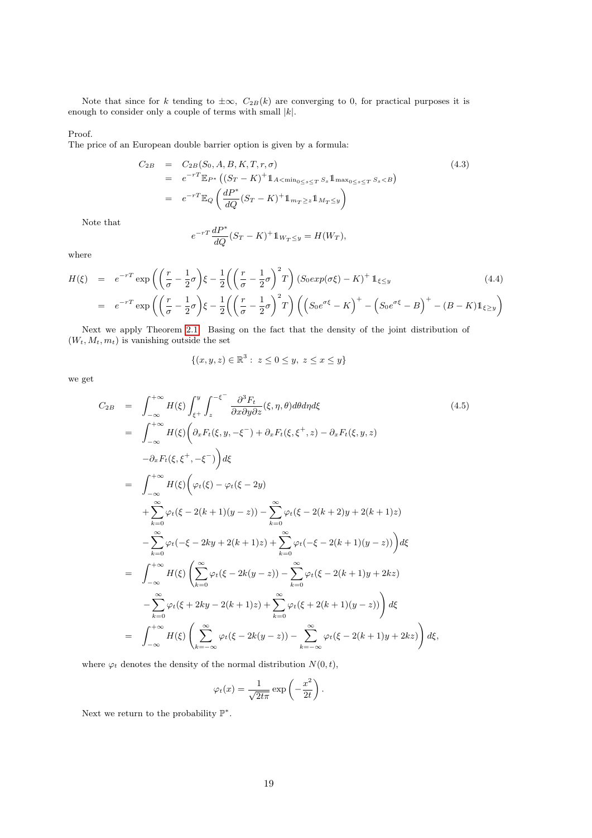Note that since for k tending to  $\pm \infty$ ,  $C_{2B}(k)$  are converging to 0, for practical purposes it is enough to consider only a couple of terms with small  $|k|$ .

#### Proof.

The price of an European double barrier option is given by a formula:

$$
C_{2B} = C_{2B}(S_0, A, B, K, T, r, \sigma)
$$
  
=  $e^{-rT} \mathbb{E}_{P^*} ((S_T - K)^+ 1_{A < \min_{0 \le s \le T} S_s} 1_{\max_{0 \le s \le T} S_s < B})$   
=  $e^{-rT} \mathbb{E}_Q \left( \frac{dP^*}{dQ} (S_T - K)^+ 1_{m_T \ge z} 1_{M_T \le y} \right)$  (4.3)

Note that

$$
e^{-rT} \frac{dP^*}{dQ} (S_T - K)^+ 1\!\!1_{W_T \le y} = H(W_T),
$$

where

$$
H(\xi) = e^{-rT} \exp\left(\left(\frac{r}{\sigma} - \frac{1}{2}\sigma\right)\xi - \frac{1}{2}\left(\left(\frac{r}{\sigma} - \frac{1}{2}\sigma\right)^2 T\right)(S_0 \exp(\sigma \xi) - K)^+ \mathbb{1}_{\xi \le y} \right)
$$
\n
$$
= e^{-rT} \exp\left(\left(\frac{r}{\sigma} - \frac{1}{2}\sigma\right)\xi - \frac{1}{2}\left(\left(\frac{r}{\sigma} - \frac{1}{2}\sigma\right)^2 T\right)\left(\left(S_0 e^{\sigma \xi} - K\right)^+ - \left(S_0 e^{\sigma \xi} - B\right)^+ - (B - K)\mathbb{1}_{\xi \ge y}\right)
$$
\n(4.4)

Next we apply Theorem [2.1.](#page-1-1) Basing on the fact that the density of the joint distribution of  $(W_t, M_t, m_t)$  is vanishing outside the set

$$
\{(x, y, z) \in \mathbb{R}^3 : z \le 0 \le y, z \le x \le y\}
$$

we get

$$
C_{2B} = \int_{-\infty}^{+\infty} H(\xi) \int_{\xi^{+}}^{y} \int_{z}^{-\xi^{-}} \frac{\partial^{3} F_{t}}{\partial x \partial y \partial z}(\xi, \eta, \theta) d\theta d\eta d\xi
$$
(4.5)  
\n
$$
= \int_{-\infty}^{+\infty} H(\xi) \Big( \partial_{x} F_{t}(\xi, y, -\xi^{-}) + \partial_{x} F_{t}(\xi, \xi^{+}, z) - \partial_{x} F_{t}(\xi, y, z) - \partial_{x} F_{t}(\xi, \xi^{+}, -\xi^{-}) \Big) d\xi
$$
  
\n
$$
= \int_{-\infty}^{+\infty} H(\xi) \Big( \varphi_{t}(\xi) - \varphi_{t}(\xi - 2y) + \sum_{k=0}^{\infty} \varphi_{t}(\xi - 2(k+1)(y-z)) - \sum_{k=0}^{\infty} \varphi_{t}(\xi - 2(k+2)y + 2(k+1)z) - \sum_{k=0}^{\infty} \varphi_{t}(-\xi - 2ky + 2(k+1)z) + \sum_{k=0}^{\infty} \varphi_{t}(-\xi - 2(k+1)(y-z)) \Big) d\xi
$$
  
\n
$$
= \int_{-\infty}^{+\infty} H(\xi) \Big( \sum_{k=0}^{\infty} \varphi_{t}(\xi - 2k(y-z)) - \sum_{k=0}^{\infty} \varphi_{t}(\xi - 2(k+1)y + 2kz) - \sum_{k=0}^{\infty} \varphi_{t}(\xi + 2ky - 2(k+1)z) + \sum_{k=0}^{\infty} \varphi_{t}(\xi + 2(k+1)(y-z)) \Big) d\xi
$$
  
\n
$$
= \int_{-\infty}^{+\infty} H(\xi) \Big( \sum_{k=-\infty}^{\infty} \varphi_{t}(\xi - 2k(y-z)) - \sum_{k=-\infty}^{\infty} \varphi_{t}(\xi - 2(k+1)y + 2kz) \Big) d\xi,
$$

where  $\varphi_t$  denotes the density of the normal distribution  $N(0, t)$ ,

$$
\varphi_t(x) = \frac{1}{\sqrt{2t\pi}} \exp\left(-\frac{x^2}{2t}\right).
$$

Next we return to the probability  $\mathbb{P}^*$ .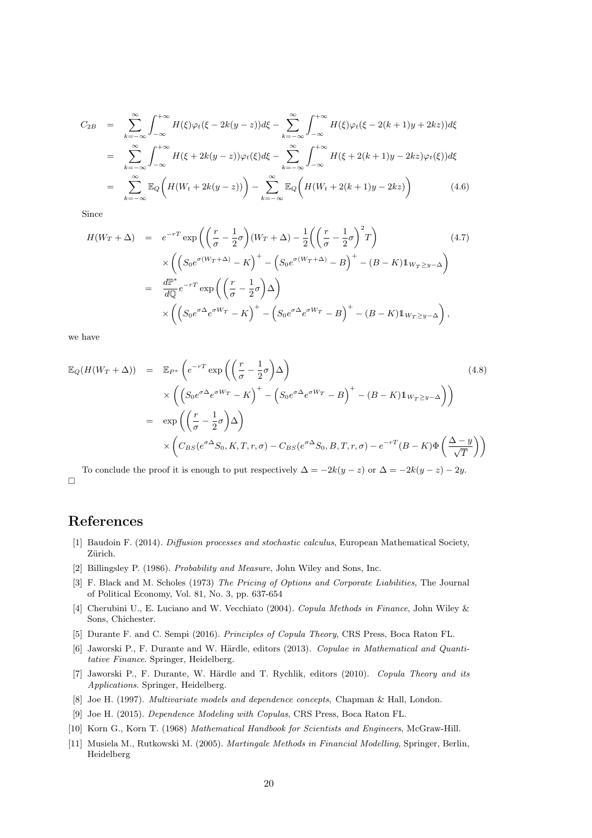$$
C_{2B} = \sum_{k=-\infty}^{\infty} \int_{-\infty}^{+\infty} H(\xi) \varphi_t(\xi - 2k(y - z)) d\xi - \sum_{k=-\infty}^{\infty} \int_{-\infty}^{+\infty} H(\xi) \varphi_t(\xi - 2(k + 1)y + 2kz)) d\xi
$$
  
\n
$$
= \sum_{k=-\infty}^{\infty} \int_{-\infty}^{+\infty} H(\xi + 2k(y - z)) \varphi_t(\xi) d\xi - \sum_{k=-\infty}^{\infty} \int_{-\infty}^{+\infty} H(\xi + 2(k + 1)y - 2kz) \varphi_t(\xi) d\xi
$$
  
\n
$$
= \sum_{k=-\infty}^{\infty} \mathbb{E}_Q \left( H(W_t + 2k(y - z)) \right) - \sum_{k=-\infty}^{\infty} \mathbb{E}_Q \left( H(W_t + 2(k + 1)y - 2kz) \right) \tag{4.6}
$$

Since

$$
H(W_T + \Delta) = e^{-rT} \exp\left(\left(\frac{r}{\sigma} - \frac{1}{2}\sigma\right)(W_T + \Delta) - \frac{1}{2}\left(\left(\frac{r}{\sigma} - \frac{1}{2}\sigma\right)^2 T\right)\right)
$$
  

$$
\times \left(\left(S_0 e^{\sigma(W_T + \Delta)} - K\right)^+ - \left(S_0 e^{\sigma(W_T + \Delta)} - B\right)^+ - (B - K)\mathbb{1}_{W_T \ge y - \Delta}\right)
$$
  

$$
= \frac{d\mathbb{P}^*}{d\mathbb{Q}} e^{-rT} \exp\left(\left(\frac{r}{\sigma} - \frac{1}{2}\sigma\right)\Delta\right)
$$
  

$$
\times \left(\left(S_0 e^{\sigma\Delta} e^{\sigma W_T} - K\right)^+ - \left(S_0 e^{\sigma\Delta} e^{\sigma W_T} - B\right)^+ - (B - K)\mathbb{1}_{W_T \ge y - \Delta}\right),
$$
  
(4.7)

we have

$$
\mathbb{E}_{Q}(H(W_{T} + \Delta)) = \mathbb{E}_{P^{*}}\left(e^{-rT}\exp\left(\left(\frac{r}{\sigma} - \frac{1}{2}\sigma\right)\Delta\right)\right)
$$
\n
$$
\times \left(\left(S_{0}e^{\sigma\Delta}e^{\sigma W_{T}} - K\right)^{+} - \left(S_{0}e^{\sigma\Delta}e^{\sigma W_{T}} - B\right)^{+} - (B - K)\mathbb{1}_{W_{T} \geq y - \Delta}\right)\right)
$$
\n
$$
= \exp\left(\left(\frac{r}{\sigma} - \frac{1}{2}\sigma\right)\Delta\right)
$$
\n
$$
\times \left(C_{BS}(e^{\sigma\Delta}S_{0}, K, T, r, \sigma) - C_{BS}(e^{\sigma\Delta}S_{0}, B, T, r, \sigma) - e^{-rT}(B - K)\Phi\left(\frac{\Delta - y}{\sqrt{T}}\right)\right)
$$
\n(4.8)

To conclude the proof it is enough to put respectively  $\Delta = -2k(y - z)$  or  $\Delta = -2k(y - z) - 2y$ .  $\Box$ 

## References

- <span id="page-19-7"></span>[1] Baudoin F. (2014). Diffusion processes and stochastic calculus, European Mathematical Society, Zürich.
- <span id="page-19-6"></span>[2] Billingsley P. (1986). Probability and Measure, John Wiley and Sons, Inc.
- <span id="page-19-9"></span>[3] F. Black and M. Scholes (1973) The Pricing of Options and Corporate Liabilities, The Journal of Political Economy, Vol. 81, No. 3, pp. 637-654
- <span id="page-19-5"></span>[4] Cherubini U., E. Luciano and W. Vecchiato (2004). Copula Methods in Finance, John Wiley & Sons, Chichester.
- <span id="page-19-0"></span>[5] Durante F. and C. Sempi (2016). Principles of Copula Theory, CRS Press, Boca Raton FL.
- <span id="page-19-2"></span>[6] Jaworski P., F. Durante and W. Härdle, editors (2013). Copulae in Mathematical and Quantitative Finance. Springer, Heidelberg.
- <span id="page-19-1"></span>[7] Jaworski P., F. Durante, W. Härdle and T. Rychlik, editors (2010). Copula Theory and its Applications. Springer, Heidelberg.
- <span id="page-19-3"></span>[8] Joe H. (1997). Multivariate models and dependence concepts, Chapman & Hall, London.
- <span id="page-19-4"></span>[9] Joe H. (2015). Dependence Modeling with Copulas, CRS Press, Boca Raton FL.
- <span id="page-19-8"></span>[10] Korn G., Korn T. (1968) Mathematical Handbook for Scientists and Engineers, McGraw-Hill.
- <span id="page-19-10"></span>[11] Musiela M., Rutkowski M. (2005). Martingale Methods in Financial Modelling, Springer, Berlin, Heidelberg